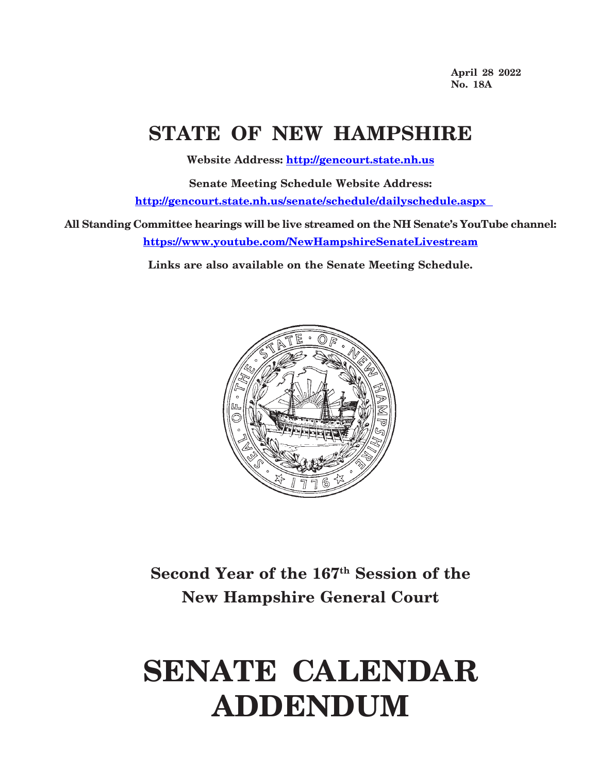**April 28 2022 No. 18A**

# **STATE OF NEW HAMPSHIRE**

**Website Address: <http://gencourt.state.nh.us>**

**Senate Meeting Schedule Website Address: <http://gencourt.state.nh.us/senate/schedule/dailyschedule.aspx>**

**All Standing Committee hearings will be live streamed on the NH Senate's YouTube channel: <https://www.youtube.com/NewHampshireSenateLivestream>**

**Links are also available on the Senate Meeting Schedule.**



**Second Year of the 167th Session of the New Hampshire General Court**

# **SENATE CALENDAR ADDENDUM**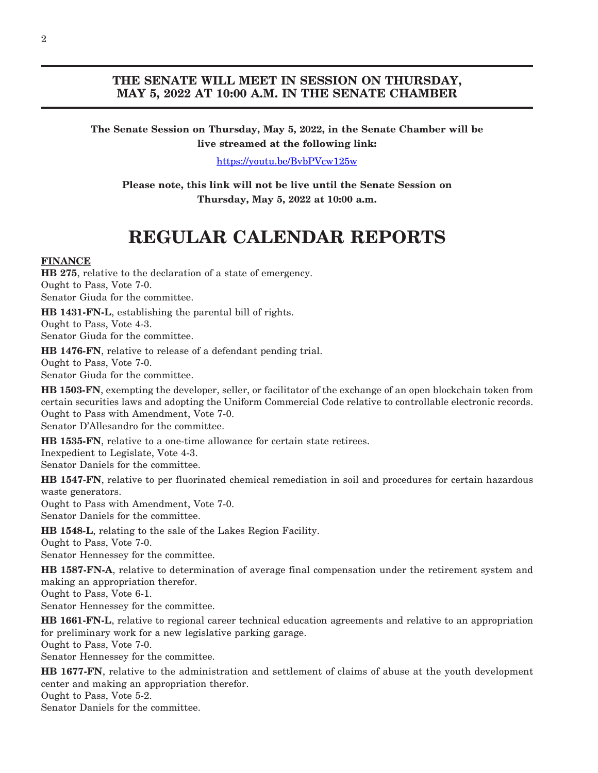# **THE SENATE WILL MEET IN SESSION ON THURSDAY, MAY 5, 2022 AT 10:00 A.M. IN THE SENATE CHAMBER**

**The Senate Session on Thursday, May 5, 2022, in the Senate Chamber will be live streamed at the following link:**

<https://youtu.be/BvbPVcw125w>

**Please note, this link will not be live until the Senate Session on Thursday, May 5, 2022 at 10:00 a.m.**

# **REGULAR CALENDAR REPORTS**

## **FINANCE**

**HB 275**, relative to the declaration of a state of emergency.

Ought to Pass, Vote 7-0.

Senator Giuda for the committee.

**HB 1431-FN-L**, establishing the parental bill of rights.

Ought to Pass, Vote 4-3.

Senator Giuda for the committee.

**HB 1476-FN**, relative to release of a defendant pending trial.

Ought to Pass, Vote 7-0.

Senator Giuda for the committee.

**HB 1503-FN**, exempting the developer, seller, or facilitator of the exchange of an open blockchain token from certain securities laws and adopting the Uniform Commercial Code relative to controllable electronic records. Ought to Pass with Amendment, Vote 7-0.

Senator D'Allesandro for the committee.

**HB 1535-FN**, relative to a one-time allowance for certain state retirees.

Inexpedient to Legislate, Vote 4-3.

Senator Daniels for the committee.

**HB 1547-FN**, relative to per fluorinated chemical remediation in soil and procedures for certain hazardous waste generators.

Ought to Pass with Amendment, Vote 7-0. Senator Daniels for the committee.

**HB 1548-L**, relating to the sale of the Lakes Region Facility.

Ought to Pass, Vote 7-0.

Senator Hennessey for the committee.

**HB 1587-FN-A**, relative to determination of average final compensation under the retirement system and making an appropriation therefor.

Ought to Pass, Vote 6-1.

Senator Hennessey for the committee.

**HB 1661-FN-L**, relative to regional career technical education agreements and relative to an appropriation for preliminary work for a new legislative parking garage. Ought to Pass, Vote 7-0.

Senator Hennessey for the committee.

**HB 1677-FN**, relative to the administration and settlement of claims of abuse at the youth development center and making an appropriation therefor.

Ought to Pass, Vote 5-2.

Senator Daniels for the committee.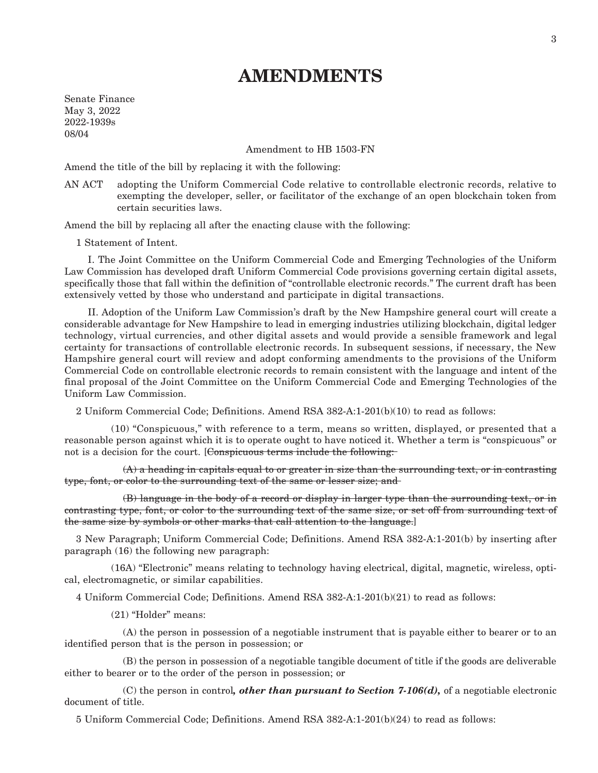# **AMENDMENTS**

Senate Finance May 3, 2022 2022-1939s 08/04

#### Amendment to HB 1503-FN

Amend the title of the bill by replacing it with the following:

AN ACT adopting the Uniform Commercial Code relative to controllable electronic records, relative to exempting the developer, seller, or facilitator of the exchange of an open blockchain token from certain securities laws.

Amend the bill by replacing all after the enacting clause with the following:

1 Statement of Intent.

 I. The Joint Committee on the Uniform Commercial Code and Emerging Technologies of the Uniform Law Commission has developed draft Uniform Commercial Code provisions governing certain digital assets, specifically those that fall within the definition of "controllable electronic records." The current draft has been extensively vetted by those who understand and participate in digital transactions.

 II. Adoption of the Uniform Law Commission's draft by the New Hampshire general court will create a considerable advantage for New Hampshire to lead in emerging industries utilizing blockchain, digital ledger technology, virtual currencies, and other digital assets and would provide a sensible framework and legal certainty for transactions of controllable electronic records. In subsequent sessions, if necessary, the New Hampshire general court will review and adopt conforming amendments to the provisions of the Uniform Commercial Code on controllable electronic records to remain consistent with the language and intent of the final proposal of the Joint Committee on the Uniform Commercial Code and Emerging Technologies of the Uniform Law Commission.

2 Uniform Commercial Code; Definitions. Amend RSA 382-A:1-201(b)(10) to read as follows:

 (10) "Conspicuous," with reference to a term, means so written, displayed, or presented that a reasonable person against which it is to operate ought to have noticed it. Whether a term is "conspicuous" or not is a decision for the court. [Conspicuous terms include the following:

 $(A)$  a heading in capitals equal to or greater in size than the surrounding text, or in contrasting type, font, or color to the surrounding text of the same or lesser size; and

 (B) language in the body of a record or display in larger type than the surrounding text, or in contrasting type, font, or color to the surrounding text of the same size, or set off from surrounding text of the same size by symbols or other marks that call attention to the language.]

3 New Paragraph; Uniform Commercial Code; Definitions. Amend RSA 382-A:1-201(b) by inserting after paragraph (16) the following new paragraph:

 (16A) "Electronic" means relating to technology having electrical, digital, magnetic, wireless, optical, electromagnetic, or similar capabilities.

4 Uniform Commercial Code; Definitions. Amend RSA 382-A:1-201(b)(21) to read as follows:

(21) "Holder" means:

 (A) the person in possession of a negotiable instrument that is payable either to bearer or to an identified person that is the person in possession; or

 (B) the person in possession of a negotiable tangible document of title if the goods are deliverable either to bearer or to the order of the person in possession; or

 (C) the person in control*, other than pursuant to Section 7-106(d),* of a negotiable electronic document of title.

5 Uniform Commercial Code; Definitions. Amend RSA 382-A:1-201(b)(24) to read as follows: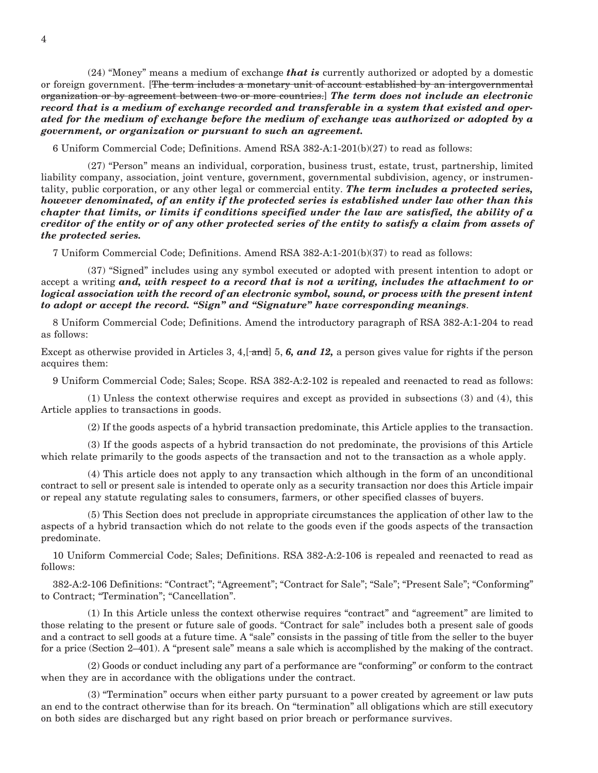(24) "Money" means a medium of exchange *that is* currently authorized or adopted by a domestic or foreign government. [The term includes a monetary unit of account established by an intergovernmental organization or by agreement between two or more countries.] *The term does not include an electronic record that is a medium of exchange recorded and transferable in a system that existed and operated for the medium of exchange before the medium of exchange was authorized or adopted by a government, or organization or pursuant to such an agreement.*

6 Uniform Commercial Code; Definitions. Amend RSA 382-A:1-201(b)(27) to read as follows:

 (27) "Person" means an individual, corporation, business trust, estate, trust, partnership, limited liability company, association, joint venture, government, governmental subdivision, agency, or instrumentality, public corporation, or any other legal or commercial entity. *The term includes a protected series, however denominated, of an entity if the protected series is established under law other than this chapter that limits, or limits if conditions specified under the law are satisfied, the ability of a creditor of the entity or of any other protected series of the entity to satisfy a claim from assets of the protected series.*

7 Uniform Commercial Code; Definitions. Amend RSA 382-A:1-201(b)(37) to read as follows:

 (37) "Signed" includes using any symbol executed or adopted with present intention to adopt or accept a writing *and, with respect to a record that is not a writing, includes the attachment to or logical association with the record of an electronic symbol, sound, or process with the present intent to adopt or accept the record. "Sign" and "Signature" have corresponding meanings*.

8 Uniform Commercial Code; Definitions. Amend the introductory paragraph of RSA 382-A:1-204 to read as follows:

Except as otherwise provided in Articles 3, 4,[ and] 5, *6, and 12,* a person gives value for rights if the person acquires them:

9 Uniform Commercial Code; Sales; Scope. RSA 382-A:2-102 is repealed and reenacted to read as follows:

 (1) Unless the context otherwise requires and except as provided in subsections (3) and (4), this Article applies to transactions in goods.

(2) If the goods aspects of a hybrid transaction predominate, this Article applies to the transaction.

 (3) If the goods aspects of a hybrid transaction do not predominate, the provisions of this Article which relate primarily to the goods aspects of the transaction and not to the transaction as a whole apply.

 (4) This article does not apply to any transaction which although in the form of an unconditional contract to sell or present sale is intended to operate only as a security transaction nor does this Article impair or repeal any statute regulating sales to consumers, farmers, or other specified classes of buyers.

 (5) This Section does not preclude in appropriate circumstances the application of other law to the aspects of a hybrid transaction which do not relate to the goods even if the goods aspects of the transaction predominate.

10 Uniform Commercial Code; Sales; Definitions. RSA 382-A:2-106 is repealed and reenacted to read as follows:

382-A:2-106 Definitions: "Contract"; "Agreement"; "Contract for Sale"; "Sale"; "Present Sale"; "Conforming" to Contract; "Termination"; "Cancellation".

 (1) In this Article unless the context otherwise requires "contract" and "agreement" are limited to those relating to the present or future sale of goods. "Contract for sale" includes both a present sale of goods and a contract to sell goods at a future time. A "sale" consists in the passing of title from the seller to the buyer for a price (Section 2–401). A "present sale" means a sale which is accomplished by the making of the contract.

 (2) Goods or conduct including any part of a performance are "conforming" or conform to the contract when they are in accordance with the obligations under the contract.

 (3) "Termination" occurs when either party pursuant to a power created by agreement or law puts an end to the contract otherwise than for its breach. On "termination" all obligations which are still executory on both sides are discharged but any right based on prior breach or performance survives.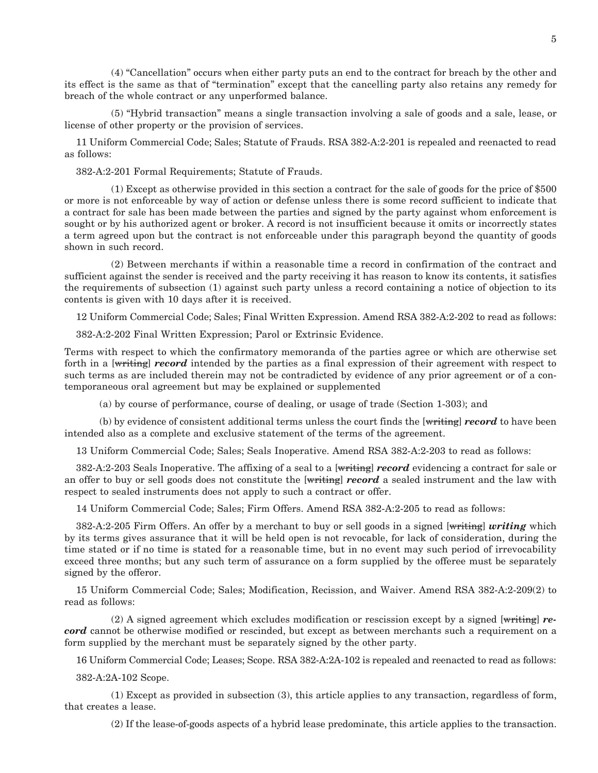(4) "Cancellation" occurs when either party puts an end to the contract for breach by the other and its effect is the same as that of "termination" except that the cancelling party also retains any remedy for breach of the whole contract or any unperformed balance.

 (5) "Hybrid transaction" means a single transaction involving a sale of goods and a sale, lease, or license of other property or the provision of services.

11 Uniform Commercial Code; Sales; Statute of Frauds. RSA 382-A:2-201 is repealed and reenacted to read as follows:

382-A:2-201 Formal Requirements; Statute of Frauds.

 (1) Except as otherwise provided in this section a contract for the sale of goods for the price of \$500 or more is not enforceable by way of action or defense unless there is some record sufficient to indicate that a contract for sale has been made between the parties and signed by the party against whom enforcement is sought or by his authorized agent or broker. A record is not insufficient because it omits or incorrectly states a term agreed upon but the contract is not enforceable under this paragraph beyond the quantity of goods shown in such record.

 (2) Between merchants if within a reasonable time a record in confirmation of the contract and sufficient against the sender is received and the party receiving it has reason to know its contents, it satisfies the requirements of subsection (1) against such party unless a record containing a notice of objection to its contents is given with 10 days after it is received.

12 Uniform Commercial Code; Sales; Final Written Expression. Amend RSA 382-A:2-202 to read as follows:

382-A:2-202 Final Written Expression; Parol or Extrinsic Evidence.

Terms with respect to which the confirmatory memoranda of the parties agree or which are otherwise set forth in a [writing] *record* intended by the parties as a final expression of their agreement with respect to such terms as are included therein may not be contradicted by evidence of any prior agreement or of a contemporaneous oral agreement but may be explained or supplemented

(a) by course of performance, course of dealing, or usage of trade (Section 1-303); and

 (b) by evidence of consistent additional terms unless the court finds the [writing] *record* to have been intended also as a complete and exclusive statement of the terms of the agreement.

13 Uniform Commercial Code; Sales; Seals Inoperative. Amend RSA 382-A:2-203 to read as follows:

382-A:2-203 Seals Inoperative. The affixing of a seal to a [writing] *record* evidencing a contract for sale or an offer to buy or sell goods does not constitute the [writing] *record* a sealed instrument and the law with respect to sealed instruments does not apply to such a contract or offer.

14 Uniform Commercial Code; Sales; Firm Offers. Amend RSA 382-A:2-205 to read as follows:

382-A:2-205 Firm Offers. An offer by a merchant to buy or sell goods in a signed [writing] *writing* which by its terms gives assurance that it will be held open is not revocable, for lack of consideration, during the time stated or if no time is stated for a reasonable time, but in no event may such period of irrevocability exceed three months; but any such term of assurance on a form supplied by the offeree must be separately signed by the offeror.

15 Uniform Commercial Code; Sales; Modification, Recission, and Waiver. Amend RSA 382-A:2-209(2) to read as follows:

 (2) A signed agreement which excludes modification or rescission except by a signed [writing] *record* cannot be otherwise modified or rescinded, but except as between merchants such a requirement on a form supplied by the merchant must be separately signed by the other party.

16 Uniform Commercial Code; Leases; Scope. RSA 382-A:2A-102 is repealed and reenacted to read as follows:

382-A:2A-102 Scope.

 (1) Except as provided in subsection (3), this article applies to any transaction, regardless of form, that creates a lease.

(2) If the lease-of-goods aspects of a hybrid lease predominate, this article applies to the transaction.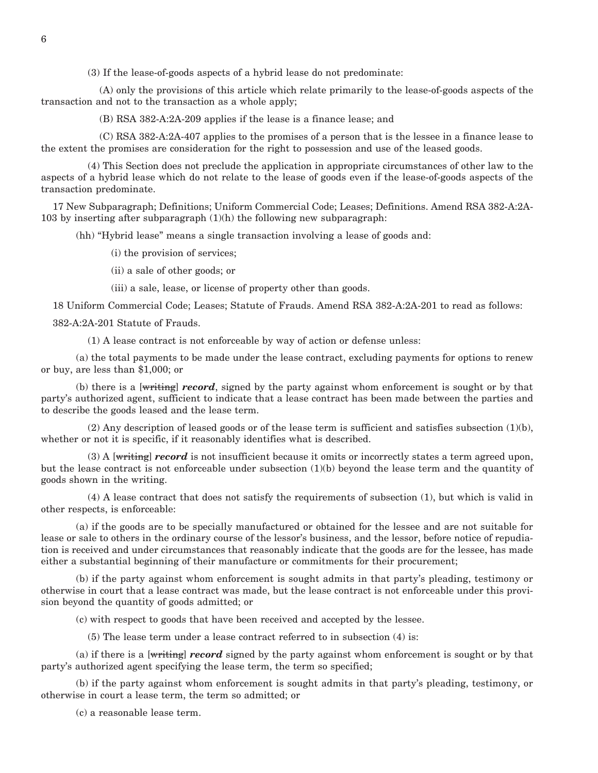(3) If the lease-of-goods aspects of a hybrid lease do not predominate:

 (A) only the provisions of this article which relate primarily to the lease-of-goods aspects of the transaction and not to the transaction as a whole apply;

(B) RSA 382-A:2A-209 applies if the lease is a finance lease; and

 (C) RSA 382-A:2A-407 applies to the promises of a person that is the lessee in a finance lease to the extent the promises are consideration for the right to possession and use of the leased goods.

 (4) This Section does not preclude the application in appropriate circumstances of other law to the aspects of a hybrid lease which do not relate to the lease of goods even if the lease-of-goods aspects of the transaction predominate.

17 New Subparagraph; Definitions; Uniform Commercial Code; Leases; Definitions. Amend RSA 382-A:2A-103 by inserting after subparagraph (1)(h) the following new subparagraph:

(hh) "Hybrid lease" means a single transaction involving a lease of goods and:

(i) the provision of services;

(ii) a sale of other goods; or

(iii) a sale, lease, or license of property other than goods.

18 Uniform Commercial Code; Leases; Statute of Frauds. Amend RSA 382-A:2A-201 to read as follows:

382-A:2A-201 Statute of Frauds.

(1) A lease contract is not enforceable by way of action or defense unless:

 (a) the total payments to be made under the lease contract, excluding payments for options to renew or buy, are less than \$1,000; or

 (b) there is a [writing] *record*, signed by the party against whom enforcement is sought or by that party's authorized agent, sufficient to indicate that a lease contract has been made between the parties and to describe the goods leased and the lease term.

 $(2)$  Any description of leased goods or of the lease term is sufficient and satisfies subsection  $(1)(b)$ , whether or not it is specific, if it reasonably identifies what is described.

 (3) A [writing] *record* is not insufficient because it omits or incorrectly states a term agreed upon, but the lease contract is not enforceable under subsection (1)(b) beyond the lease term and the quantity of goods shown in the writing.

 (4) A lease contract that does not satisfy the requirements of subsection (1), but which is valid in other respects, is enforceable:

 (a) if the goods are to be specially manufactured or obtained for the lessee and are not suitable for lease or sale to others in the ordinary course of the lessor's business, and the lessor, before notice of repudiation is received and under circumstances that reasonably indicate that the goods are for the lessee, has made either a substantial beginning of their manufacture or commitments for their procurement;

 (b) if the party against whom enforcement is sought admits in that party's pleading, testimony or otherwise in court that a lease contract was made, but the lease contract is not enforceable under this provision beyond the quantity of goods admitted; or

(c) with respect to goods that have been received and accepted by the lessee.

(5) The lease term under a lease contract referred to in subsection (4) is:

 (a) if there is a [writing] *record* signed by the party against whom enforcement is sought or by that party's authorized agent specifying the lease term, the term so specified;

 (b) if the party against whom enforcement is sought admits in that party's pleading, testimony, or otherwise in court a lease term, the term so admitted; or

(c) a reasonable lease term.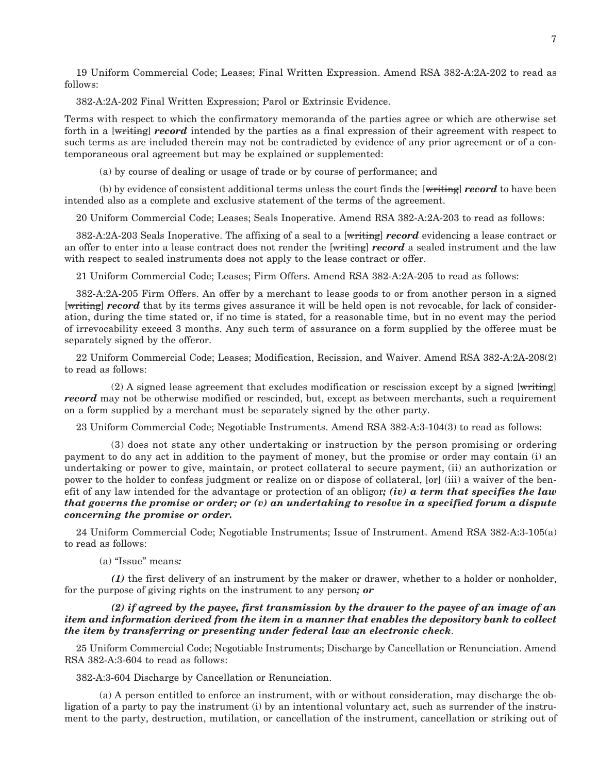19 Uniform Commercial Code; Leases; Final Written Expression. Amend RSA 382-A:2A-202 to read as follows:

382-A:2A-202 Final Written Expression; Parol or Extrinsic Evidence.

Terms with respect to which the confirmatory memoranda of the parties agree or which are otherwise set forth in a [writing] *record* intended by the parties as a final expression of their agreement with respect to such terms as are included therein may not be contradicted by evidence of any prior agreement or of a contemporaneous oral agreement but may be explained or supplemented:

(a) by course of dealing or usage of trade or by course of performance; and

 (b) by evidence of consistent additional terms unless the court finds the [writing] *record* to have been intended also as a complete and exclusive statement of the terms of the agreement.

20 Uniform Commercial Code; Leases; Seals Inoperative. Amend RSA 382-A:2A-203 to read as follows:

382-A:2A-203 Seals Inoperative. The affixing of a seal to a [writing] *record* evidencing a lease contract or an offer to enter into a lease contract does not render the [writing] *record* a sealed instrument and the law with respect to sealed instruments does not apply to the lease contract or offer.

21 Uniform Commercial Code; Leases; Firm Offers. Amend RSA 382-A:2A-205 to read as follows:

382-A:2A-205 Firm Offers. An offer by a merchant to lease goods to or from another person in a signed [writing] *record* that by its terms gives assurance it will be held open is not revocable, for lack of consideration, during the time stated or, if no time is stated, for a reasonable time, but in no event may the period of irrevocability exceed 3 months. Any such term of assurance on a form supplied by the offeree must be separately signed by the offeror.

22 Uniform Commercial Code; Leases; Modification, Recission, and Waiver. Amend RSA 382-A:2A-208(2) to read as follows:

 (2) A signed lease agreement that excludes modification or rescission except by a signed [writing] *record* may not be otherwise modified or rescinded, but, except as between merchants, such a requirement on a form supplied by a merchant must be separately signed by the other party.

23 Uniform Commercial Code; Negotiable Instruments. Amend RSA 382-A:3-104(3) to read as follows:

 (3) does not state any other undertaking or instruction by the person promising or ordering payment to do any act in addition to the payment of money, but the promise or order may contain (i) an undertaking or power to give, maintain, or protect collateral to secure payment, (ii) an authorization or power to the holder to confess judgment or realize on or dispose of collateral, [or] (iii) a waiver of the benefit of any law intended for the advantage or protection of an obligor*; (iv) a term that specifies the law that governs the promise or order; or (v) an undertaking to resolve in a specified forum a dispute concerning the promise or order.*

24 Uniform Commercial Code; Negotiable Instruments; Issue of Instrument. Amend RSA 382-A:3-105(a) to read as follows:

(a) "Issue" means*:*

 *(1)* the first delivery of an instrument by the maker or drawer, whether to a holder or nonholder, for the purpose of giving rights on the instrument to any person*; or*

## *(2) if agreed by the payee, first transmission by the drawer to the payee of an image of an item and information derived from the item in a manner that enables the depository bank to collect the item by transferring or presenting under federal law an electronic check*.

25 Uniform Commercial Code; Negotiable Instruments; Discharge by Cancellation or Renunciation. Amend RSA 382-A:3-604 to read as follows:

382-A:3-604 Discharge by Cancellation or Renunciation.

 (a) A person entitled to enforce an instrument, with or without consideration, may discharge the obligation of a party to pay the instrument (i) by an intentional voluntary act, such as surrender of the instrument to the party, destruction, mutilation, or cancellation of the instrument, cancellation or striking out of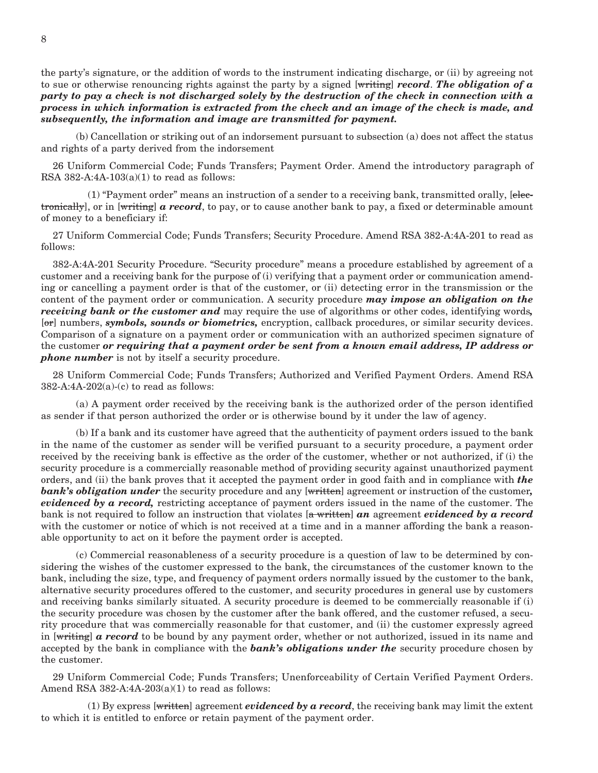the party's signature, or the addition of words to the instrument indicating discharge, or (ii) by agreeing not to sue or otherwise renouncing rights against the party by a signed [writing] *record*. *The obligation of a party to pay a check is not discharged solely by the destruction of the check in connection with a process in which information is extracted from the check and an image of the check is made, and subsequently, the information and image are transmitted for payment.*

 (b) Cancellation or striking out of an indorsement pursuant to subsection (a) does not affect the status and rights of a party derived from the indorsement

26 Uniform Commercial Code; Funds Transfers; Payment Order. Amend the introductory paragraph of RSA  $382-A:4A-103(a)(1)$  to read as follows:

 $(1)$  "Payment order" means an instruction of a sender to a receiving bank, transmitted orally, [electronically], or in [writing] *a record*, to pay, or to cause another bank to pay, a fixed or determinable amount of money to a beneficiary if:

27 Uniform Commercial Code; Funds Transfers; Security Procedure. Amend RSA 382-A:4A-201 to read as follows:

382-A:4A-201 Security Procedure. "Security procedure" means a procedure established by agreement of a customer and a receiving bank for the purpose of (i) verifying that a payment order or communication amending or cancelling a payment order is that of the customer, or (ii) detecting error in the transmission or the content of the payment order or communication. A security procedure *may impose an obligation on the receiving bank or the customer and* may require the use of algorithms or other codes, identifying words*,* [or] numbers, *symbols, sounds or biometrics,* encryption, callback procedures, or similar security devices. Comparison of a signature on a payment order or communication with an authorized specimen signature of the customer *or requiring that a payment order be sent from a known email address, IP address or phone number* is not by itself a security procedure.

28 Uniform Commercial Code; Funds Transfers; Authorized and Verified Payment Orders. Amend RSA  $382-A:4A-202(a)-(c)$  to read as follows:

 (a) A payment order received by the receiving bank is the authorized order of the person identified as sender if that person authorized the order or is otherwise bound by it under the law of agency.

 (b) If a bank and its customer have agreed that the authenticity of payment orders issued to the bank in the name of the customer as sender will be verified pursuant to a security procedure, a payment order received by the receiving bank is effective as the order of the customer, whether or not authorized, if (i) the security procedure is a commercially reasonable method of providing security against unauthorized payment orders, and (ii) the bank proves that it accepted the payment order in good faith and in compliance with *the*  **bank's obligation under** the security procedure and any [written] agreement or instruction of the customer, *evidenced by a record,* restricting acceptance of payment orders issued in the name of the customer. The bank is not required to follow an instruction that violates [a written] *an* agreement *evidenced by a record*  with the customer or notice of which is not received at a time and in a manner affording the bank a reasonable opportunity to act on it before the payment order is accepted.

 (c) Commercial reasonableness of a security procedure is a question of law to be determined by considering the wishes of the customer expressed to the bank, the circumstances of the customer known to the bank, including the size, type, and frequency of payment orders normally issued by the customer to the bank, alternative security procedures offered to the customer, and security procedures in general use by customers and receiving banks similarly situated. A security procedure is deemed to be commercially reasonable if (i) the security procedure was chosen by the customer after the bank offered, and the customer refused, a security procedure that was commercially reasonable for that customer, and (ii) the customer expressly agreed in [writing] *a record* to be bound by any payment order, whether or not authorized, issued in its name and accepted by the bank in compliance with the *bank's obligations under the* security procedure chosen by the customer.

29 Uniform Commercial Code; Funds Transfers; Unenforceability of Certain Verified Payment Orders. Amend RSA  $382-A:4A-203(a)(1)$  to read as follows:

 (1) By express [written] agreement *evidenced by a record*, the receiving bank may limit the extent to which it is entitled to enforce or retain payment of the payment order.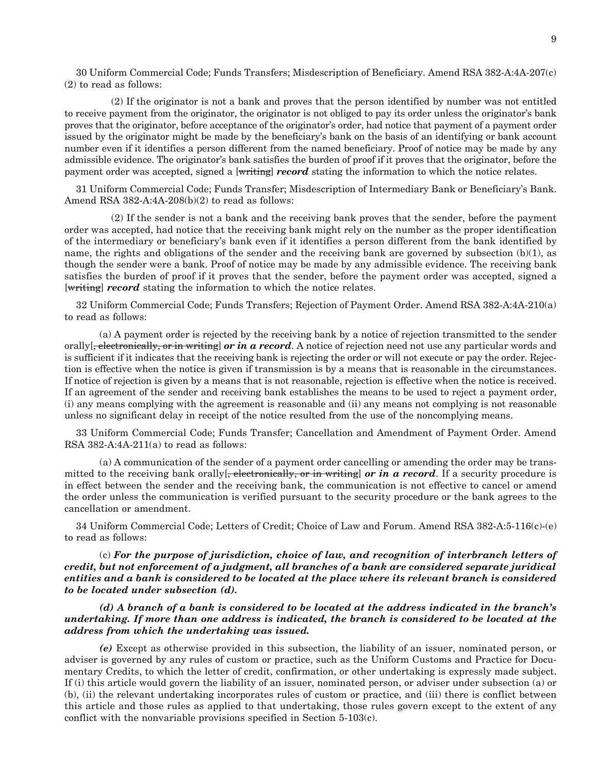30 Uniform Commercial Code; Funds Transfers; Misdescription of Beneficiary. Amend RSA 382-A:4A-207(c) (2) to read as follows:

 (2) If the originator is not a bank and proves that the person identified by number was not entitled to receive payment from the originator, the originator is not obliged to pay its order unless the originator's bank proves that the originator, before acceptance of the originator's order, had notice that payment of a payment order issued by the originator might be made by the beneficiary's bank on the basis of an identifying or bank account number even if it identifies a person different from the named beneficiary. Proof of notice may be made by any admissible evidence. The originator's bank satisfies the burden of proof if it proves that the originator, before the payment order was accepted, signed a [writing] *record* stating the information to which the notice relates.

31 Uniform Commercial Code; Funds Transfer; Misdescription of Intermediary Bank or Beneficiary's Bank. Amend RSA 382-A: $4A-208(b)(2)$  to read as follows:

 (2) If the sender is not a bank and the receiving bank proves that the sender, before the payment order was accepted, had notice that the receiving bank might rely on the number as the proper identification of the intermediary or beneficiary's bank even if it identifies a person different from the bank identified by name, the rights and obligations of the sender and the receiving bank are governed by subsection  $(b)(1)$ , as though the sender were a bank. Proof of notice may be made by any admissible evidence. The receiving bank satisfies the burden of proof if it proves that the sender, before the payment order was accepted, signed a [writing] *record* stating the information to which the notice relates.

32 Uniform Commercial Code; Funds Transfers; Rejection of Payment Order. Amend RSA 382-A:4A-210(a) to read as follows:

 (a) A payment order is rejected by the receiving bank by a notice of rejection transmitted to the sender orally[, electronically, or in writing] *or in a record*. A notice of rejection need not use any particular words and is sufficient if it indicates that the receiving bank is rejecting the order or will not execute or pay the order. Rejection is effective when the notice is given if transmission is by a means that is reasonable in the circumstances. If notice of rejection is given by a means that is not reasonable, rejection is effective when the notice is received. If an agreement of the sender and receiving bank establishes the means to be used to reject a payment order, (i) any means complying with the agreement is reasonable and (ii) any means not complying is not reasonable unless no significant delay in receipt of the notice resulted from the use of the noncomplying means.

33 Uniform Commercial Code; Funds Transfer; Cancellation and Amendment of Payment Order. Amend RSA 382-A:4A-211(a) to read as follows:

 (a) A communication of the sender of a payment order cancelling or amending the order may be transmitted to the receiving bank orally<sup>[</sup>, electronically, or in writing] *or in a record*. If a security procedure is in effect between the sender and the receiving bank, the communication is not effective to cancel or amend the order unless the communication is verified pursuant to the security procedure or the bank agrees to the cancellation or amendment.

34 Uniform Commercial Code; Letters of Credit; Choice of Law and Forum. Amend RSA 382-A:5-116(c)-(e) to read as follows:

## (c) *For the purpose of jurisdiction, choice of law, and recognition of interbranch letters of credit, but not enforcement of a judgment, all branches of a bank are considered separate juridical entities and a bank is considered to be located at the place where its relevant branch is considered to be located under subsection (d).*

 *(d) A branch of a bank is considered to be located at the address indicated in the branch's undertaking. If more than one address is indicated, the branch is considered to be located at the address from which the undertaking was issued.* 

 *(e)* Except as otherwise provided in this subsection, the liability of an issuer, nominated person, or adviser is governed by any rules of custom or practice, such as the Uniform Customs and Practice for Documentary Credits, to which the letter of credit, confirmation, or other undertaking is expressly made subject. If (i) this article would govern the liability of an issuer, nominated person, or adviser under subsection (a) or (b), (ii) the relevant undertaking incorporates rules of custom or practice, and (iii) there is conflict between this article and those rules as applied to that undertaking, those rules govern except to the extent of any conflict with the nonvariable provisions specified in Section 5-103(c).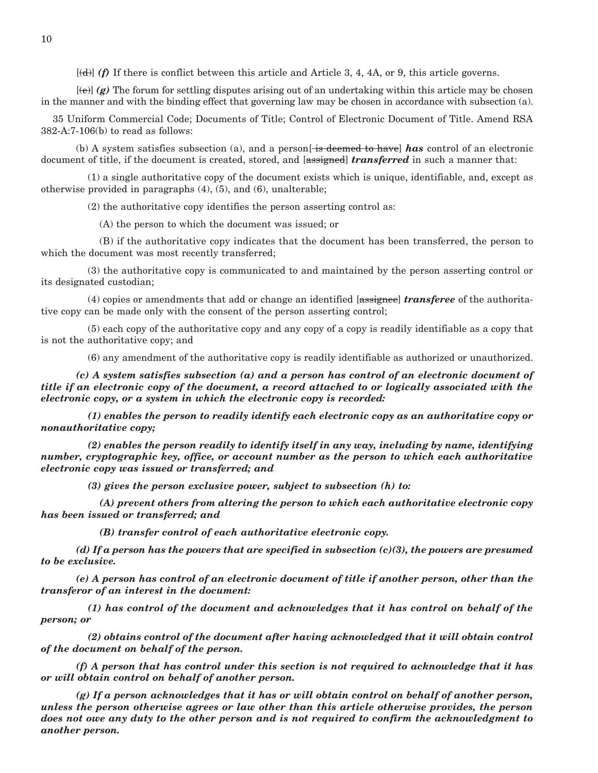[(d)] *(f)* If there is conflict between this article and Article 3, 4, 4A, or 9, this article governs.

 [(e)] *(g)* The forum for settling disputes arising out of an undertaking within this article may be chosen in the manner and with the binding effect that governing law may be chosen in accordance with subsection (a).

35 Uniform Commercial Code; Documents of Title; Control of Electronic Document of Title. Amend RSA 382-A:7-106(b) to read as follows:

 (b) A system satisfies subsection (a), and a person[ is deemed to have] *has* control of an electronic document of title, if the document is created, stored, and [assigned] *transferred* in such a manner that:

 (1) a single authoritative copy of the document exists which is unique, identifiable, and, except as otherwise provided in paragraphs (4), (5), and (6), unalterable;

(2) the authoritative copy identifies the person asserting control as:

(A) the person to which the document was issued; or

 (B) if the authoritative copy indicates that the document has been transferred, the person to which the document was most recently transferred;

 (3) the authoritative copy is communicated to and maintained by the person asserting control or its designated custodian;

 (4) copies or amendments that add or change an identified [assignee] *transferee* of the authoritative copy can be made only with the consent of the person asserting control;

 (5) each copy of the authoritative copy and any copy of a copy is readily identifiable as a copy that is not the authoritative copy; and

(6) any amendment of the authoritative copy is readily identifiable as authorized or unauthorized.

 *(c) A system satisfies subsection (a) and a person has control of an electronic document of title if an electronic copy of the document, a record attached to or logically associated with the electronic copy, or a system in which the electronic copy is recorded:*

 *(1) enables the person to readily identify each electronic copy as an authoritative copy or nonauthoritative copy;*

 *(2) enables the person readily to identify itself in any way, including by name, identifying number, cryptographic key, office, or account number as the person to which each authoritative electronic copy was issued or transferred; and*

 *(3) gives the person exclusive power, subject to subsection (h) to:*

 *(A) prevent others from altering the person to which each authoritative electronic copy has been issued or transferred; and*

 *(B) transfer control of each authoritative electronic copy.*

 *(d) If a person has the powers that are specified in subsection (c)(3), the powers are presumed to be exclusive.*

 *(e) A person has control of an electronic document of title if another person, other than the transferor of an interest in the document:*

 *(1) has control of the document and acknowledges that it has control on behalf of the person; or*

 *(2) obtains control of the document after having acknowledged that it will obtain control of the document on behalf of the person.*

 *(f) A person that has control under this section is not required to acknowledge that it has or will obtain control on behalf of another person.*

 *(g) If a person acknowledges that it has or will obtain control on behalf of another person, unless the person otherwise agrees or law other than this article otherwise provides, the person does not owe any duty to the other person and is not required to confirm the acknowledgment to another person.*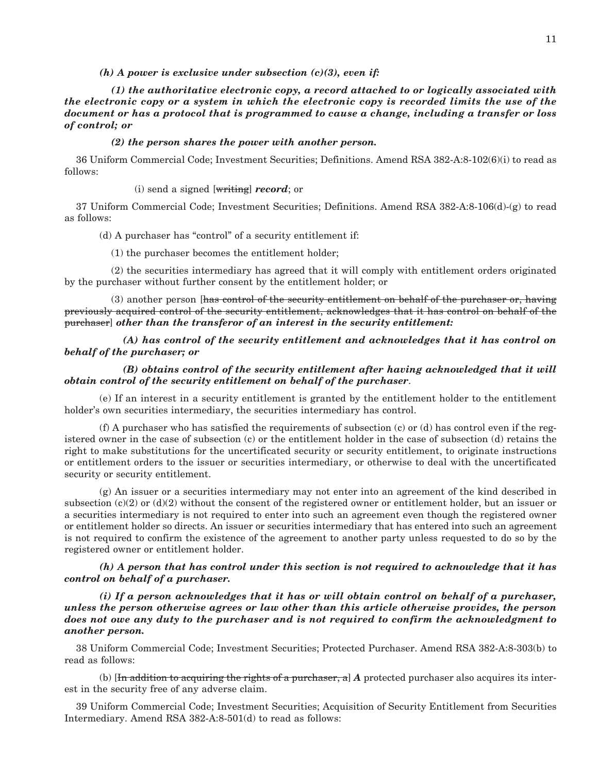#### *(h) A power is exclusive under subsection (c)(3), even if:*

 *(1) the authoritative electronic copy, a record attached to or logically associated with the electronic copy or a system in which the electronic copy is recorded limits the use of the document or has a protocol that is programmed to cause a change, including a transfer or loss of control; or*

#### *(2) the person shares the power with another person.*

36 Uniform Commercial Code; Investment Securities; Definitions. Amend RSA 382-A:8-102(6)(i) to read as follows:

#### (i) send a signed [writing] *record*; or

37 Uniform Commercial Code; Investment Securities; Definitions. Amend RSA 382-A:8-106(d)-(g) to read as follows:

(d) A purchaser has "control" of a security entitlement if:

(1) the purchaser becomes the entitlement holder;

 (2) the securities intermediary has agreed that it will comply with entitlement orders originated by the purchaser without further consent by the entitlement holder; or

 (3) another person [has control of the security entitlement on behalf of the purchaser or, having previously acquired control of the security entitlement, acknowledges that it has control on behalf of the purchaser] *other than the transferor of an interest in the security entitlement:*

 *(A) has control of the security entitlement and acknowledges that it has control on behalf of the purchaser; or*

# *(B) obtains control of the security entitlement after having acknowledged that it will obtain control of the security entitlement on behalf of the purchaser*.

 (e) If an interest in a security entitlement is granted by the entitlement holder to the entitlement holder's own securities intermediary, the securities intermediary has control.

(f) A purchaser who has satisfied the requirements of subsection  $(c)$  or  $(d)$  has control even if the registered owner in the case of subsection (c) or the entitlement holder in the case of subsection (d) retains the right to make substitutions for the uncertificated security or security entitlement, to originate instructions or entitlement orders to the issuer or securities intermediary, or otherwise to deal with the uncertificated security or security entitlement.

 (g) An issuer or a securities intermediary may not enter into an agreement of the kind described in subsection (c)(2) or (d)(2) without the consent of the registered owner or entitlement holder, but an issuer or a securities intermediary is not required to enter into such an agreement even though the registered owner or entitlement holder so directs. An issuer or securities intermediary that has entered into such an agreement is not required to confirm the existence of the agreement to another party unless requested to do so by the registered owner or entitlement holder.

#### *(h) A person that has control under this section is not required to acknowledge that it has control on behalf of a purchaser.*

 *(i) If a person acknowledges that it has or will obtain control on behalf of a purchaser, unless the person otherwise agrees or law other than this article otherwise provides, the person does not owe any duty to the purchaser and is not required to confirm the acknowledgment to another person.*

38 Uniform Commercial Code; Investment Securities; Protected Purchaser. Amend RSA 382-A:8-303(b) to read as follows:

 (b) [In addition to acquiring the rights of a purchaser, a] *A* protected purchaser also acquires its interest in the security free of any adverse claim.

39 Uniform Commercial Code; Investment Securities; Acquisition of Security Entitlement from Securities Intermediary. Amend RSA 382-A:8-501(d) to read as follows: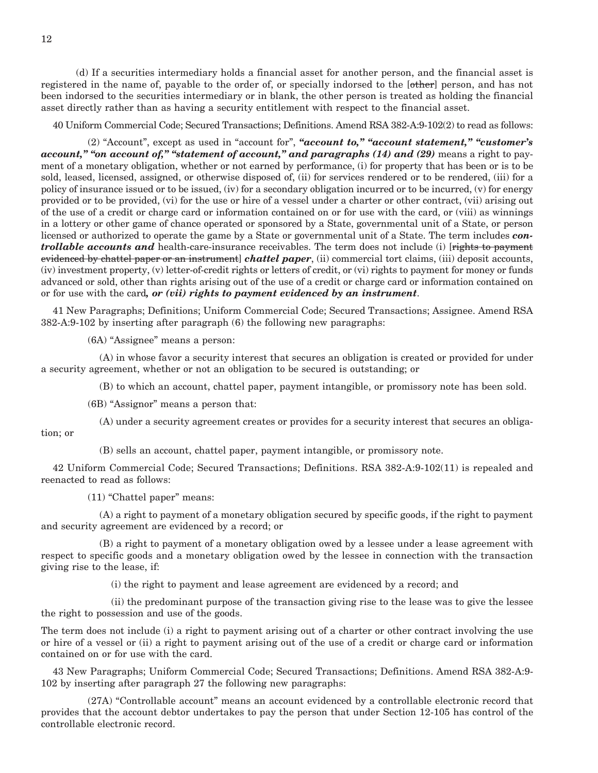(d) If a securities intermediary holds a financial asset for another person, and the financial asset is registered in the name of, payable to the order of, or specially indorsed to the [other] person, and has not been indorsed to the securities intermediary or in blank, the other person is treated as holding the financial asset directly rather than as having a security entitlement with respect to the financial asset.

40 Uniform Commercial Code; Secured Transactions; Definitions. Amend RSA 382-A:9-102(2) to read as follows:

 (2) "Account", except as used in "account for", *"account to," "account statement," "customer's account," "on account of," "statement of account," and paragraphs (14) and (29)* means a right to payment of a monetary obligation, whether or not earned by performance, (i) for property that has been or is to be sold, leased, licensed, assigned, or otherwise disposed of, (ii) for services rendered or to be rendered, (iii) for a policy of insurance issued or to be issued, (iv) for a secondary obligation incurred or to be incurred, (v) for energy provided or to be provided, (vi) for the use or hire of a vessel under a charter or other contract, (vii) arising out of the use of a credit or charge card or information contained on or for use with the card, or (viii) as winnings in a lottery or other game of chance operated or sponsored by a State, governmental unit of a State, or person licensed or authorized to operate the game by a State or governmental unit of a State. The term includes *controllable accounts and* health-care-insurance receivables. The term does not include (i) [rights to payment evidenced by chattel paper or an instrument] *chattel paper*, (ii) commercial tort claims, (iii) deposit accounts, (iv) investment property, (v) letter-of-credit rights or letters of credit, or (vi) rights to payment for money or funds advanced or sold, other than rights arising out of the use of a credit or charge card or information contained on or for use with the card*, or (vii) rights to payment evidenced by an instrument*.

41 New Paragraphs; Definitions; Uniform Commercial Code; Secured Transactions; Assignee. Amend RSA 382-A:9-102 by inserting after paragraph (6) the following new paragraphs:

(6A) "Assignee" means a person:

 (A) in whose favor a security interest that secures an obligation is created or provided for under a security agreement, whether or not an obligation to be secured is outstanding; or

(B) to which an account, chattel paper, payment intangible, or promissory note has been sold.

(6B) "Assignor" means a person that:

(A) under a security agreement creates or provides for a security interest that secures an obliga-

tion; or

(B) sells an account, chattel paper, payment intangible, or promissory note.

42 Uniform Commercial Code; Secured Transactions; Definitions. RSA 382-A:9-102(11) is repealed and reenacted to read as follows:

(11) "Chattel paper" means:

 (A) a right to payment of a monetary obligation secured by specific goods, if the right to payment and security agreement are evidenced by a record; or

 (B) a right to payment of a monetary obligation owed by a lessee under a lease agreement with respect to specific goods and a monetary obligation owed by the lessee in connection with the transaction giving rise to the lease, if:

(i) the right to payment and lease agreement are evidenced by a record; and

 (ii) the predominant purpose of the transaction giving rise to the lease was to give the lessee the right to possession and use of the goods.

The term does not include (i) a right to payment arising out of a charter or other contract involving the use or hire of a vessel or (ii) a right to payment arising out of the use of a credit or charge card or information contained on or for use with the card.

43 New Paragraphs; Uniform Commercial Code; Secured Transactions; Definitions. Amend RSA 382-A:9- 102 by inserting after paragraph 27 the following new paragraphs:

 (27A) "Controllable account" means an account evidenced by a controllable electronic record that provides that the account debtor undertakes to pay the person that under Section 12-105 has control of the controllable electronic record.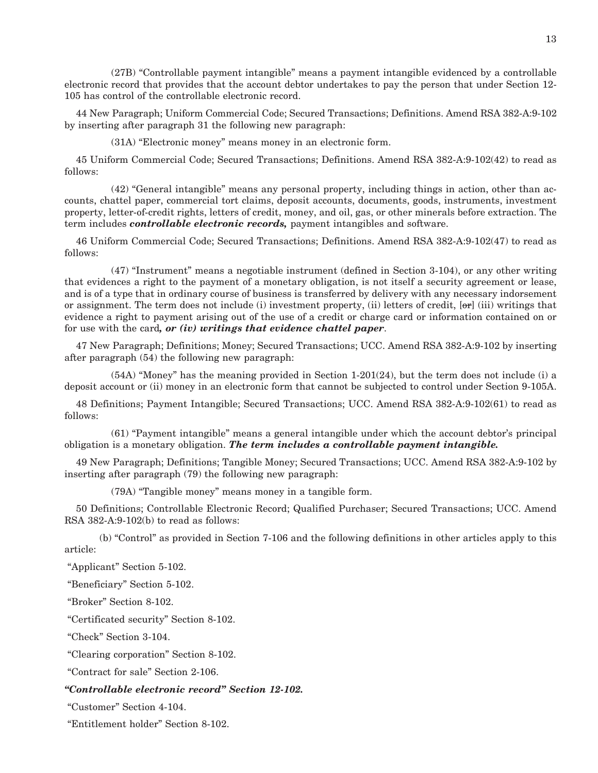(27B) "Controllable payment intangible" means a payment intangible evidenced by a controllable electronic record that provides that the account debtor undertakes to pay the person that under Section 12- 105 has control of the controllable electronic record.

44 New Paragraph; Uniform Commercial Code; Secured Transactions; Definitions. Amend RSA 382-A:9-102 by inserting after paragraph 31 the following new paragraph:

(31A) "Electronic money" means money in an electronic form.

45 Uniform Commercial Code; Secured Transactions; Definitions. Amend RSA 382-A:9-102(42) to read as follows:

 (42) "General intangible" means any personal property, including things in action, other than accounts, chattel paper, commercial tort claims, deposit accounts, documents, goods, instruments, investment property, letter-of-credit rights, letters of credit, money, and oil, gas, or other minerals before extraction. The term includes *controllable electronic records,* payment intangibles and software.

46 Uniform Commercial Code; Secured Transactions; Definitions. Amend RSA 382-A:9-102(47) to read as follows:

 (47) "Instrument" means a negotiable instrument (defined in Section 3-104), or any other writing that evidences a right to the payment of a monetary obligation, is not itself a security agreement or lease, and is of a type that in ordinary course of business is transferred by delivery with any necessary indorsement or assignment. The term does not include (i) investment property, (ii) letters of credit, [or] (iii) writings that evidence a right to payment arising out of the use of a credit or charge card or information contained on or for use with the card*, or (iv) writings that evidence chattel paper*.

47 New Paragraph; Definitions; Money; Secured Transactions; UCC. Amend RSA 382-A:9-102 by inserting after paragraph (54) the following new paragraph:

 (54A) "Money" has the meaning provided in Section 1-201(24), but the term does not include (i) a deposit account or (ii) money in an electronic form that cannot be subjected to control under Section 9-105A.

48 Definitions; Payment Intangible; Secured Transactions; UCC. Amend RSA 382-A:9-102(61) to read as follows:

 (61) "Payment intangible" means a general intangible under which the account debtor's principal obligation is a monetary obligation. *The term includes a controllable payment intangible.*

49 New Paragraph; Definitions; Tangible Money; Secured Transactions; UCC. Amend RSA 382-A:9-102 by inserting after paragraph (79) the following new paragraph:

(79A) "Tangible money" means money in a tangible form.

50 Definitions; Controllable Electronic Record; Qualified Purchaser; Secured Transactions; UCC. Amend RSA 382-A:9-102(b) to read as follows:

 (b) "Control" as provided in Section 7-106 and the following definitions in other articles apply to this article:

"Applicant" Section 5-102.

"Beneficiary" Section 5-102.

"Broker" Section 8-102.

"Certificated security" Section 8-102.

"Check" Section 3-104.

"Clearing corporation" Section 8-102.

"Contract for sale" Section 2-106.

# *"Controllable electronic record" Section 12-102.*

"Customer" Section 4-104.

"Entitlement holder" Section 8-102.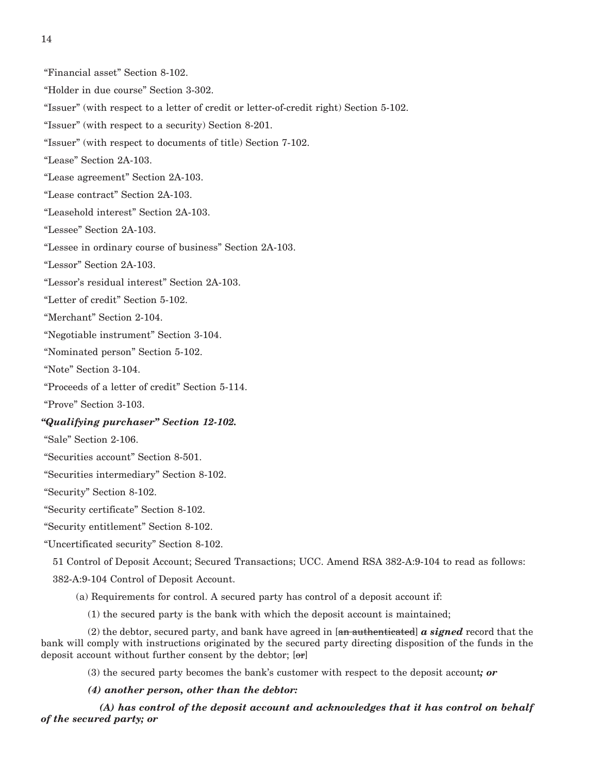| "Financial asset" Section 8-102. |  |  |  |  |  |
|----------------------------------|--|--|--|--|--|
|                                  |  |  |  |  |  |

"Holder in due course" Section 3-302.

- "Issuer" (with respect to a letter of credit or letter-of-credit right) Section 5-102.
- "Issuer" (with respect to a security) Section 8-201.
- "Issuer" (with respect to documents of title) Section 7-102.

"Lease" Section 2A-103.

- "Lease agreement" Section 2A-103.
- "Lease contract" Section 2A-103.
- "Leasehold interest" Section 2A-103.
- "Lessee" Section 2A-103.
- "Lessee in ordinary course of business" Section 2A-103.
- "Lessor" Section 2A-103.
- "Lessor's residual interest" Section 2A-103.
- "Letter of credit" Section 5-102.
- "Merchant" Section 2-104.
- "Negotiable instrument" Section 3-104.
- "Nominated person" Section 5-102.
- "Note" Section 3-104.
- "Proceeds of a letter of credit" Section 5-114.
- "Prove" Section 3-103.

# *"Qualifying purchaser" Section 12-102.*

- "Sale" Section 2-106.
- "Securities account" Section 8-501.
- "Securities intermediary" Section 8-102.
- "Security" Section 8-102.
- "Security certificate" Section 8-102.
- "Security entitlement" Section 8-102.
- "Uncertificated security" Section 8-102.
	- 51 Control of Deposit Account; Secured Transactions; UCC. Amend RSA 382-A:9-104 to read as follows:
	- 382-A:9-104 Control of Deposit Account.
		- (a) Requirements for control. A secured party has control of a deposit account if:
			- (1) the secured party is the bank with which the deposit account is maintained;
- (2) the debtor, secured party, and bank have agreed in [an authenticated] *a signed* record that the bank will comply with instructions originated by the secured party directing disposition of the funds in the deposit account without further consent by the debtor;  $[**or**]$ 
	- (3) the secured party becomes the bank's customer with respect to the deposit account*; or*

#### *(4) another person, other than the debtor:*

 *(A) has control of the deposit account and acknowledges that it has control on behalf of the secured party; or*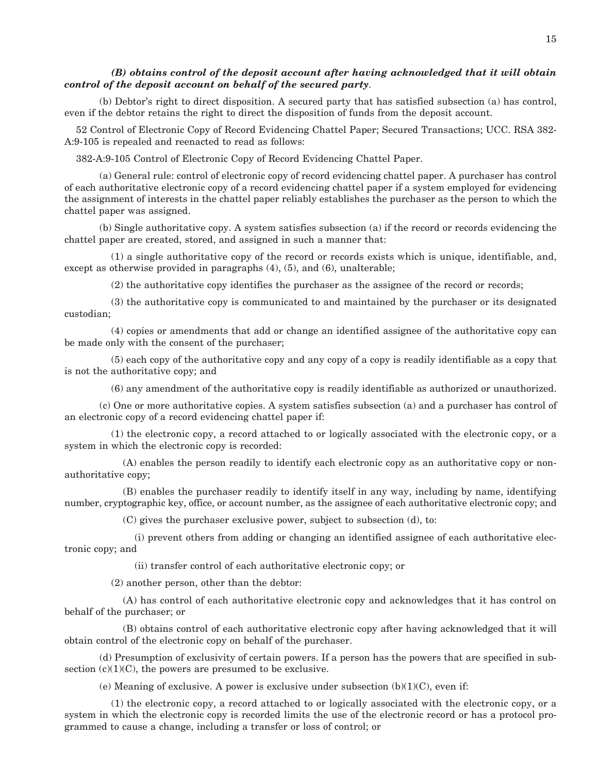## *(B) obtains control of the deposit account after having acknowledged that it will obtain control of the deposit account on behalf of the secured party*.

 (b) Debtor's right to direct disposition. A secured party that has satisfied subsection (a) has control, even if the debtor retains the right to direct the disposition of funds from the deposit account.

52 Control of Electronic Copy of Record Evidencing Chattel Paper; Secured Transactions; UCC. RSA 382- A:9-105 is repealed and reenacted to read as follows:

382-A:9-105 Control of Electronic Copy of Record Evidencing Chattel Paper.

 (a) General rule: control of electronic copy of record evidencing chattel paper. A purchaser has control of each authoritative electronic copy of a record evidencing chattel paper if a system employed for evidencing the assignment of interests in the chattel paper reliably establishes the purchaser as the person to which the chattel paper was assigned.

 (b) Single authoritative copy. A system satisfies subsection (a) if the record or records evidencing the chattel paper are created, stored, and assigned in such a manner that:

 (1) a single authoritative copy of the record or records exists which is unique, identifiable, and, except as otherwise provided in paragraphs (4), (5), and (6), unalterable;

(2) the authoritative copy identifies the purchaser as the assignee of the record or records;

 (3) the authoritative copy is communicated to and maintained by the purchaser or its designated custodian;

 (4) copies or amendments that add or change an identified assignee of the authoritative copy can be made only with the consent of the purchaser;

 (5) each copy of the authoritative copy and any copy of a copy is readily identifiable as a copy that is not the authoritative copy; and

(6) any amendment of the authoritative copy is readily identifiable as authorized or unauthorized.

 (c) One or more authoritative copies. A system satisfies subsection (a) and a purchaser has control of an electronic copy of a record evidencing chattel paper if:

 (1) the electronic copy, a record attached to or logically associated with the electronic copy, or a system in which the electronic copy is recorded:

 (A) enables the person readily to identify each electronic copy as an authoritative copy or nonauthoritative copy;

 (B) enables the purchaser readily to identify itself in any way, including by name, identifying number, cryptographic key, office, or account number, as the assignee of each authoritative electronic copy; and

(C) gives the purchaser exclusive power, subject to subsection (d), to:

 (i) prevent others from adding or changing an identified assignee of each authoritative electronic copy; and

(ii) transfer control of each authoritative electronic copy; or

(2) another person, other than the debtor:

 (A) has control of each authoritative electronic copy and acknowledges that it has control on behalf of the purchaser; or

 (B) obtains control of each authoritative electronic copy after having acknowledged that it will obtain control of the electronic copy on behalf of the purchaser.

 (d) Presumption of exclusivity of certain powers. If a person has the powers that are specified in subsection  $(c)(1)(C)$ , the powers are presumed to be exclusive.

(e) Meaning of exclusive. A power is exclusive under subsection  $(b)(1)(C)$ , even if:

 (1) the electronic copy, a record attached to or logically associated with the electronic copy, or a system in which the electronic copy is recorded limits the use of the electronic record or has a protocol programmed to cause a change, including a transfer or loss of control; or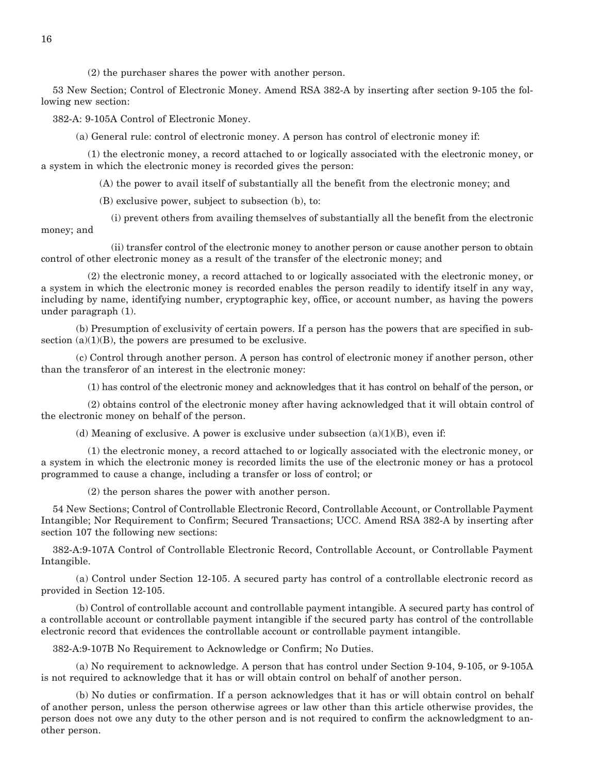(2) the purchaser shares the power with another person.

53 New Section; Control of Electronic Money. Amend RSA 382-A by inserting after section 9-105 the following new section:

382-A: 9-105A Control of Electronic Money.

(a) General rule: control of electronic money. A person has control of electronic money if:

 (1) the electronic money, a record attached to or logically associated with the electronic money, or a system in which the electronic money is recorded gives the person:

(A) the power to avail itself of substantially all the benefit from the electronic money; and

(B) exclusive power, subject to subsection (b), to:

 (i) prevent others from availing themselves of substantially all the benefit from the electronic money; and

 (ii) transfer control of the electronic money to another person or cause another person to obtain control of other electronic money as a result of the transfer of the electronic money; and

 (2) the electronic money, a record attached to or logically associated with the electronic money, or a system in which the electronic money is recorded enables the person readily to identify itself in any way, including by name, identifying number, cryptographic key, office, or account number, as having the powers under paragraph (1).

 (b) Presumption of exclusivity of certain powers. If a person has the powers that are specified in subsection  $(a)(1)(B)$ , the powers are presumed to be exclusive.

 (c) Control through another person. A person has control of electronic money if another person, other than the transferor of an interest in the electronic money:

(1) has control of the electronic money and acknowledges that it has control on behalf of the person, or

 (2) obtains control of the electronic money after having acknowledged that it will obtain control of the electronic money on behalf of the person.

(d) Meaning of exclusive. A power is exclusive under subsection  $(a)(1)(B)$ , even if:

 (1) the electronic money, a record attached to or logically associated with the electronic money, or a system in which the electronic money is recorded limits the use of the electronic money or has a protocol programmed to cause a change, including a transfer or loss of control; or

(2) the person shares the power with another person.

54 New Sections; Control of Controllable Electronic Record, Controllable Account, or Controllable Payment Intangible; Nor Requirement to Confirm; Secured Transactions; UCC. Amend RSA 382-A by inserting after section 107 the following new sections:

382-A:9-107A Control of Controllable Electronic Record, Controllable Account, or Controllable Payment Intangible.

 (a) Control under Section 12-105. A secured party has control of a controllable electronic record as provided in Section 12-105.

 (b) Control of controllable account and controllable payment intangible. A secured party has control of a controllable account or controllable payment intangible if the secured party has control of the controllable electronic record that evidences the controllable account or controllable payment intangible.

382-A:9-107B No Requirement to Acknowledge or Confirm; No Duties.

 (a) No requirement to acknowledge. A person that has control under Section 9-104, 9-105, or 9-105A is not required to acknowledge that it has or will obtain control on behalf of another person.

 (b) No duties or confirmation. If a person acknowledges that it has or will obtain control on behalf of another person, unless the person otherwise agrees or law other than this article otherwise provides, the person does not owe any duty to the other person and is not required to confirm the acknowledgment to another person.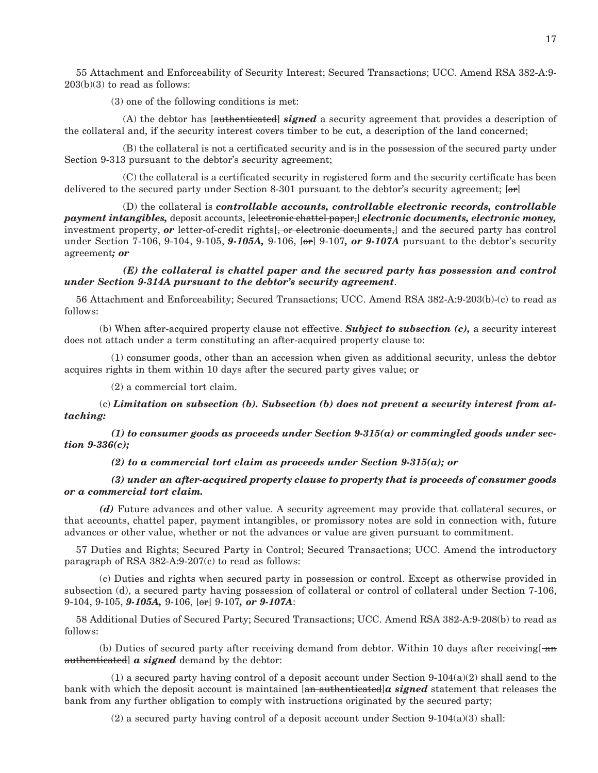55 Attachment and Enforceability of Security Interest; Secured Transactions; UCC. Amend RSA 382-A:9- 203(b)(3) to read as follows:

(3) one of the following conditions is met:

 (A) the debtor has [authenticated] *signed* a security agreement that provides a description of the collateral and, if the security interest covers timber to be cut, a description of the land concerned;

 (B) the collateral is not a certificated security and is in the possession of the secured party under Section 9-313 pursuant to the debtor's security agreement;

 (C) the collateral is a certificated security in registered form and the security certificate has been delivered to the secured party under Section 8-301 pursuant to the debtor's security agreement; [or]

 (D) the collateral is *controllable accounts, controllable electronic records, controllable payment intangibles,* deposit accounts, [electronic chattel paper,] *electronic documents, electronic money,*  investment property, *or* letter-of-credit rights[, or electronic documents,] and the secured party has control under Section 7-106, 9-104, 9-105, *9-105A,* 9-106, [or] 9-107*, or 9-107A* pursuant to the debtor's security agreement*; or*

#### *(E) the collateral is chattel paper and the secured party has possession and control under Section 9-314A pursuant to the debtor's security agreement*.

56 Attachment and Enforceability; Secured Transactions; UCC. Amend RSA 382-A:9-203(b)-(c) to read as follows:

 (b) When after-acquired property clause not effective. *Subject to subsection (c),* a security interest does not attach under a term constituting an after-acquired property clause to:

 (1) consumer goods, other than an accession when given as additional security, unless the debtor acquires rights in them within 10 days after the secured party gives value; or

(2) a commercial tort claim.

 (c) *Limitation on subsection (b). Subsection (b) does not prevent a security interest from attaching:*

 *(1) to consumer goods as proceeds under Section 9-315(a) or commingled goods under section 9-336(c);*

 *(2) to a commercial tort claim as proceeds under Section 9-315(a); or*

# *(3) under an after-acquired property clause to property that is proceeds of consumer goods or a commercial tort claim.*

 *(d)* Future advances and other value. A security agreement may provide that collateral secures, or that accounts, chattel paper, payment intangibles, or promissory notes are sold in connection with, future advances or other value, whether or not the advances or value are given pursuant to commitment.

57 Duties and Rights; Secured Party in Control; Secured Transactions; UCC. Amend the introductory paragraph of RSA 382-A:9-207(c) to read as follows:

 (c) Duties and rights when secured party in possession or control. Except as otherwise provided in subsection (d), a secured party having possession of collateral or control of collateral under Section 7-106, 9-104, 9-105, *9-105A,* 9-106, [or] 9-107*, or 9-107A*:

58 Additional Duties of Secured Party; Secured Transactions; UCC. Amend RSA 382-A:9-208(b) to read as follows:

(b) Duties of secured party after receiving demand from debtor. Within 10 days after receiving  $\left[-\frac{1}{2} + \frac{1}{2} + \frac{1}{2} + \frac{1}{2} + \frac{1}{2} + \frac{1}{2} + \frac{1}{2} + \frac{1}{2} + \frac{1}{2} + \frac{1}{2} + \frac{1}{2} + \frac{1}{2} + \frac{1}{2} + \frac{1}{2} + \frac{1}{2} + \frac$ authenticated] *a signed* demand by the debtor:

(1) a secured party having control of a deposit account under Section 9-104(a)(2) shall send to the bank with which the deposit account is maintained [an authenticated]*a signed* statement that releases the bank from any further obligation to comply with instructions originated by the secured party;

(2) a secured party having control of a deposit account under Section  $9-104(a)(3)$  shall: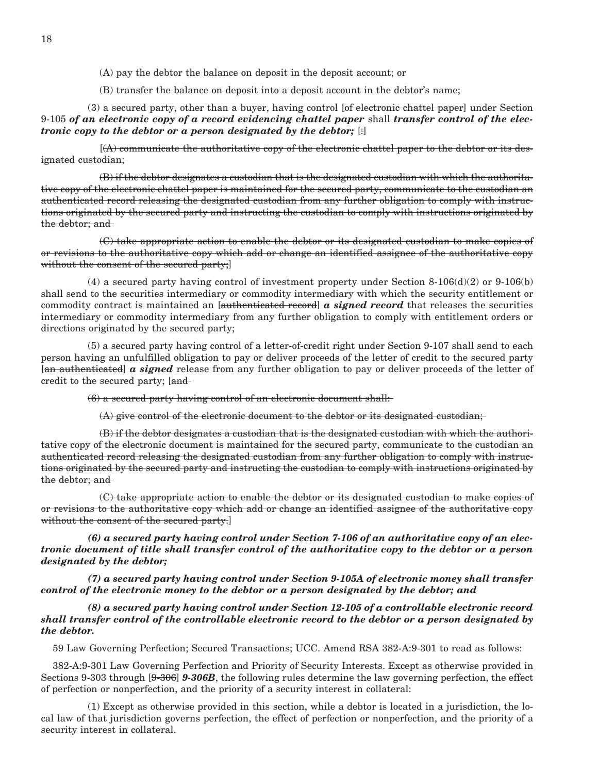- (A) pay the debtor the balance on deposit in the deposit account; or
- (B) transfer the balance on deposit into a deposit account in the debtor's name;

(3) a secured party, other than a buyer, having control [of electronic chattel paper] under Section 9-105 *of an electronic copy of a record evidencing chattel paper* shall *transfer control of the electronic copy to the debtor or a person designated by the debtor;*  $\lbrack \cdot \rbrack$ 

 $[(A)$  communicate the authoritative copy of the electronic chattel paper to the debtor or its designated custodian;

 $(B)$  if the debtor designates a custodian that is the designated custodian with which the authoritative copy of the electronic chattel paper is maintained for the secured party, communicate to the custodian an authenticated record releasing the designated custodian from any further obligation to comply with instructions originated by the secured party and instructing the custodian to comply with instructions originated by the debtor; and

 (C) take appropriate action to enable the debtor or its designated custodian to make copies of or revisions to the authoritative copy which add or change an identified assignee of the authoritative copy without the consent of the secured party;

(4) a secured party having control of investment property under Section 8-106(d)(2) or 9-106(b) shall send to the securities intermediary or commodity intermediary with which the security entitlement or commodity contract is maintained an [authenticated record] *a signed record* that releases the securities intermediary or commodity intermediary from any further obligation to comply with entitlement orders or directions originated by the secured party;

 (5) a secured party having control of a letter-of-credit right under Section 9-107 shall send to each person having an unfulfilled obligation to pay or deliver proceeds of the letter of credit to the secured party [an authenticated] *a signed* release from any further obligation to pay or deliver proceeds of the letter of credit to the secured party; [and

(6) a secured party having control of an electronic document shall:

(A) give control of the electronic document to the debtor or its designated custodian;

 $(B)$  if the debtor designates a custodian that is the designated custodian with which the authoritative copy of the electronic document is maintained for the secured party, communicate to the custodian an authenticated record releasing the designated custodian from any further obligation to comply with instructions originated by the secured party and instructing the custodian to comply with instructions originated by the debtor; and

 (C) take appropriate action to enable the debtor or its designated custodian to make copies of or revisions to the authoritative copy which add or change an identified assignee of the authoritative copy without the consent of the secured party.

 *(6) a secured party having control under Section 7-106 of an authoritative copy of an electronic document of title shall transfer control of the authoritative copy to the debtor or a person designated by the debtor;*

 *(7) a secured party having control under Section 9-105A of electronic money shall transfer control of the electronic money to the debtor or a person designated by the debtor; and*

 *(8) a secured party having control under Section 12-105 of a controllable electronic record shall transfer control of the controllable electronic record to the debtor or a person designated by the debtor.*

59 Law Governing Perfection; Secured Transactions; UCC. Amend RSA 382-A:9-301 to read as follows:

382-A:9-301 Law Governing Perfection and Priority of Security Interests. Except as otherwise provided in Sections 9-303 through [9-306] *9-306B*, the following rules determine the law governing perfection, the effect of perfection or nonperfection, and the priority of a security interest in collateral:

 (1) Except as otherwise provided in this section, while a debtor is located in a jurisdiction, the local law of that jurisdiction governs perfection, the effect of perfection or nonperfection, and the priority of a security interest in collateral.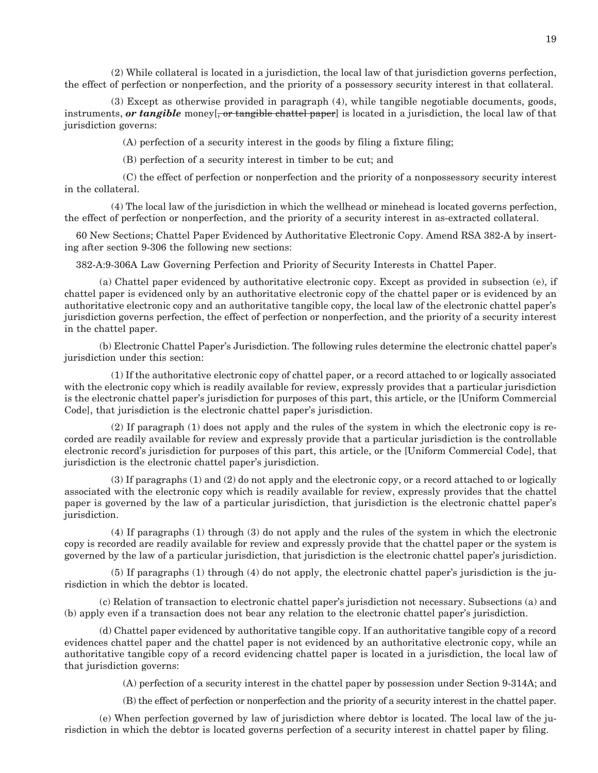(2) While collateral is located in a jurisdiction, the local law of that jurisdiction governs perfection, the effect of perfection or nonperfection, and the priority of a possessory security interest in that collateral.

 (3) Except as otherwise provided in paragraph (4), while tangible negotiable documents, goods, instruments, *or tangible* money[, or tangible chattel paper] is located in a jurisdiction, the local law of that jurisdiction governs:

(A) perfection of a security interest in the goods by filing a fixture filing;

(B) perfection of a security interest in timber to be cut; and

 (C) the effect of perfection or nonperfection and the priority of a nonpossessory security interest in the collateral.

 (4) The local law of the jurisdiction in which the wellhead or minehead is located governs perfection, the effect of perfection or nonperfection, and the priority of a security interest in as-extracted collateral.

60 New Sections; Chattel Paper Evidenced by Authoritative Electronic Copy. Amend RSA 382-A by inserting after section 9-306 the following new sections:

382-A:9-306A Law Governing Perfection and Priority of Security Interests in Chattel Paper.

 (a) Chattel paper evidenced by authoritative electronic copy. Except as provided in subsection (e), if chattel paper is evidenced only by an authoritative electronic copy of the chattel paper or is evidenced by an authoritative electronic copy and an authoritative tangible copy, the local law of the electronic chattel paper's jurisdiction governs perfection, the effect of perfection or nonperfection, and the priority of a security interest in the chattel paper.

 (b) Electronic Chattel Paper's Jurisdiction. The following rules determine the electronic chattel paper's jurisdiction under this section:

 (1) If the authoritative electronic copy of chattel paper, or a record attached to or logically associated with the electronic copy which is readily available for review, expressly provides that a particular jurisdiction is the electronic chattel paper's jurisdiction for purposes of this part, this article, or the [Uniform Commercial Code], that jurisdiction is the electronic chattel paper's jurisdiction.

 (2) If paragraph (1) does not apply and the rules of the system in which the electronic copy is recorded are readily available for review and expressly provide that a particular jurisdiction is the controllable electronic record's jurisdiction for purposes of this part, this article, or the [Uniform Commercial Code], that jurisdiction is the electronic chattel paper's jurisdiction.

 (3) If paragraphs (1) and (2) do not apply and the electronic copy, or a record attached to or logically associated with the electronic copy which is readily available for review, expressly provides that the chattel paper is governed by the law of a particular jurisdiction, that jurisdiction is the electronic chattel paper's jurisdiction.

 (4) If paragraphs (1) through (3) do not apply and the rules of the system in which the electronic copy is recorded are readily available for review and expressly provide that the chattel paper or the system is governed by the law of a particular jurisdiction, that jurisdiction is the electronic chattel paper's jurisdiction.

 (5) If paragraphs (1) through (4) do not apply, the electronic chattel paper's jurisdiction is the jurisdiction in which the debtor is located.

 (c) Relation of transaction to electronic chattel paper's jurisdiction not necessary. Subsections (a) and (b) apply even if a transaction does not bear any relation to the electronic chattel paper's jurisdiction.

 (d) Chattel paper evidenced by authoritative tangible copy. If an authoritative tangible copy of a record evidences chattel paper and the chattel paper is not evidenced by an authoritative electronic copy, while an authoritative tangible copy of a record evidencing chattel paper is located in a jurisdiction, the local law of that jurisdiction governs:

(A) perfection of a security interest in the chattel paper by possession under Section 9-314A; and

(B) the effect of perfection or nonperfection and the priority of a security interest in the chattel paper.

 (e) When perfection governed by law of jurisdiction where debtor is located. The local law of the jurisdiction in which the debtor is located governs perfection of a security interest in chattel paper by filing.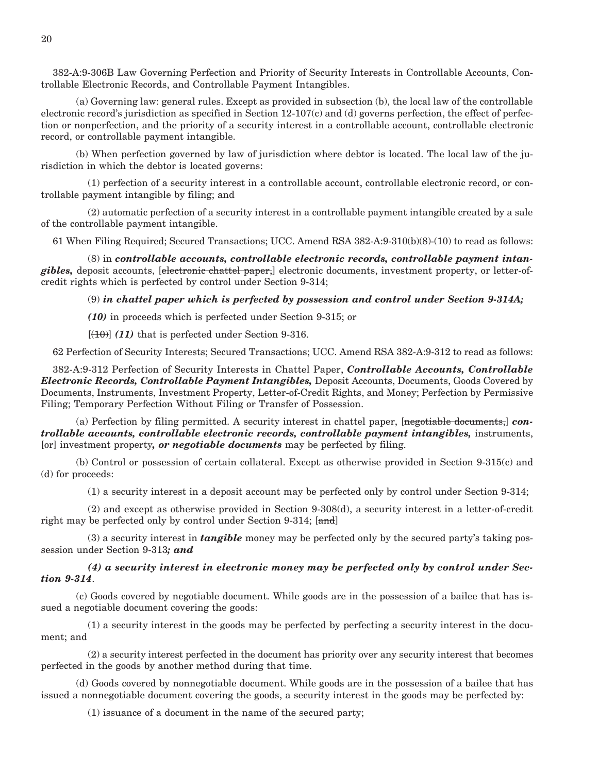382-A:9-306B Law Governing Perfection and Priority of Security Interests in Controllable Accounts, Controllable Electronic Records, and Controllable Payment Intangibles.

 (a) Governing law: general rules. Except as provided in subsection (b), the local law of the controllable electronic record's jurisdiction as specified in Section 12-107(c) and (d) governs perfection, the effect of perfection or nonperfection, and the priority of a security interest in a controllable account, controllable electronic record, or controllable payment intangible.

 (b) When perfection governed by law of jurisdiction where debtor is located. The local law of the jurisdiction in which the debtor is located governs:

 (1) perfection of a security interest in a controllable account, controllable electronic record, or controllable payment intangible by filing; and

 (2) automatic perfection of a security interest in a controllable payment intangible created by a sale of the controllable payment intangible.

61 When Filing Required; Secured Transactions; UCC. Amend RSA 382-A:9-310(b)(8)-(10) to read as follows:

 (8) in *controllable accounts, controllable electronic records, controllable payment intangibles,* deposit accounts, [electronic chattel paper,] electronic documents, investment property, or letter-ofcredit rights which is perfected by control under Section 9-314;

(9) *in chattel paper which is perfected by possession and control under Section 9-314A;*

 *(10)* in proceeds which is perfected under Section 9-315; or

 $[(10)(11)$  that is perfected under Section 9-316.

62 Perfection of Security Interests; Secured Transactions; UCC. Amend RSA 382-A:9-312 to read as follows:

382-A:9-312 Perfection of Security Interests in Chattel Paper, *Controllable Accounts, Controllable Electronic Records, Controllable Payment Intangibles,* Deposit Accounts, Documents, Goods Covered by Documents, Instruments, Investment Property, Letter-of-Credit Rights, and Money; Perfection by Permissive Filing; Temporary Perfection Without Filing or Transfer of Possession.

 (a) Perfection by filing permitted. A security interest in chattel paper, [negotiable documents,] *controllable accounts, controllable electronic records, controllable payment intangibles, instruments,* [or] investment property*, or negotiable documents* may be perfected by filing.

 (b) Control or possession of certain collateral. Except as otherwise provided in Section 9-315(c) and (d) for proceeds:

(1) a security interest in a deposit account may be perfected only by control under Section 9-314;

 (2) and except as otherwise provided in Section 9-308(d), a security interest in a letter-of-credit right may be perfected only by control under Section 9-314; [and]

 (3) a security interest in *tangible* money may be perfected only by the secured party's taking possession under Section 9-313*; and* 

#### *(4) a security interest in electronic money may be perfected only by control under Section 9-314*.

 (c) Goods covered by negotiable document. While goods are in the possession of a bailee that has issued a negotiable document covering the goods:

 (1) a security interest in the goods may be perfected by perfecting a security interest in the document; and

 (2) a security interest perfected in the document has priority over any security interest that becomes perfected in the goods by another method during that time.

 (d) Goods covered by nonnegotiable document. While goods are in the possession of a bailee that has issued a nonnegotiable document covering the goods, a security interest in the goods may be perfected by:

(1) issuance of a document in the name of the secured party;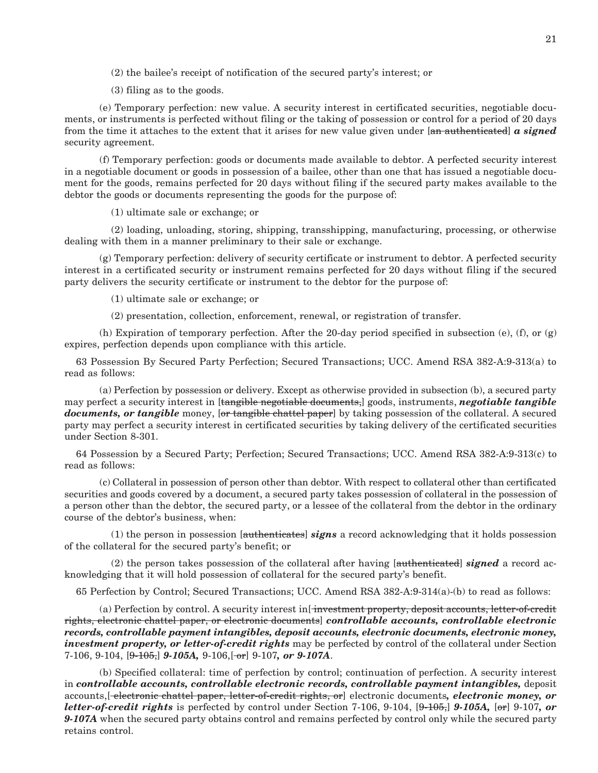(2) the bailee's receipt of notification of the secured party's interest; or

(3) filing as to the goods.

 (e) Temporary perfection: new value. A security interest in certificated securities, negotiable documents, or instruments is perfected without filing or the taking of possession or control for a period of 20 days from the time it attaches to the extent that it arises for new value given under [an authenticated] *a signed*  security agreement.

 (f) Temporary perfection: goods or documents made available to debtor. A perfected security interest in a negotiable document or goods in possession of a bailee, other than one that has issued a negotiable document for the goods, remains perfected for 20 days without filing if the secured party makes available to the debtor the goods or documents representing the goods for the purpose of:

(1) ultimate sale or exchange; or

 (2) loading, unloading, storing, shipping, transshipping, manufacturing, processing, or otherwise dealing with them in a manner preliminary to their sale or exchange.

 (g) Temporary perfection: delivery of security certificate or instrument to debtor. A perfected security interest in a certificated security or instrument remains perfected for 20 days without filing if the secured party delivers the security certificate or instrument to the debtor for the purpose of:

(1) ultimate sale or exchange; or

(2) presentation, collection, enforcement, renewal, or registration of transfer.

(h) Expiration of temporary perfection. After the 20-day period specified in subsection (e),  $(f)$ , or  $(g)$ expires, perfection depends upon compliance with this article.

63 Possession By Secured Party Perfection; Secured Transactions; UCC. Amend RSA 382-A:9-313(a) to read as follows:

 (a) Perfection by possession or delivery. Except as otherwise provided in subsection (b), a secured party may perfect a security interest in [tangible negotiable documents,] goods, instruments, *negotiable tangible documents, or tangible* money, [or tangible chattel paper] by taking possession of the collateral. A secured party may perfect a security interest in certificated securities by taking delivery of the certificated securities under Section 8-301.

64 Possession by a Secured Party; Perfection; Secured Transactions; UCC. Amend RSA 382-A:9-313(c) to read as follows:

 (c) Collateral in possession of person other than debtor. With respect to collateral other than certificated securities and goods covered by a document, a secured party takes possession of collateral in the possession of a person other than the debtor, the secured party, or a lessee of the collateral from the debtor in the ordinary course of the debtor's business, when:

 (1) the person in possession [authenticates] *signs* a record acknowledging that it holds possession of the collateral for the secured party's benefit; or

 (2) the person takes possession of the collateral after having [authenticated] *signed* a record acknowledging that it will hold possession of collateral for the secured party's benefit.

65 Perfection by Control; Secured Transactions; UCC. Amend RSA 382-A:9-314(a)-(b) to read as follows:

 (a) Perfection by control. A security interest in[ investment property, deposit accounts, letter-of-credit rights, electronic chattel paper, or electronic documents] *controllable accounts, controllable electronic records, controllable payment intangibles, deposit accounts, electronic documents, electronic money, investment property, or letter-of-credit rights* may be perfected by control of the collateral under Section 7-106, 9-104, [9-105,] *9-105A,* 9-106,[ or] 9-107*, or 9-107A*.

 (b) Specified collateral: time of perfection by control; continuation of perfection. A security interest in *controllable accounts, controllable electronic records, controllable payment intangibles,* deposit accounts,[ electronic chattel paper, letter-of-credit rights, or] electronic documents*, electronic money, or letter-of-credit rights* is perfected by control under Section 7-106, 9-104, [9-105,] *9-105A,* [or] 9-107*, or 9-107A* when the secured party obtains control and remains perfected by control only while the secured party retains control.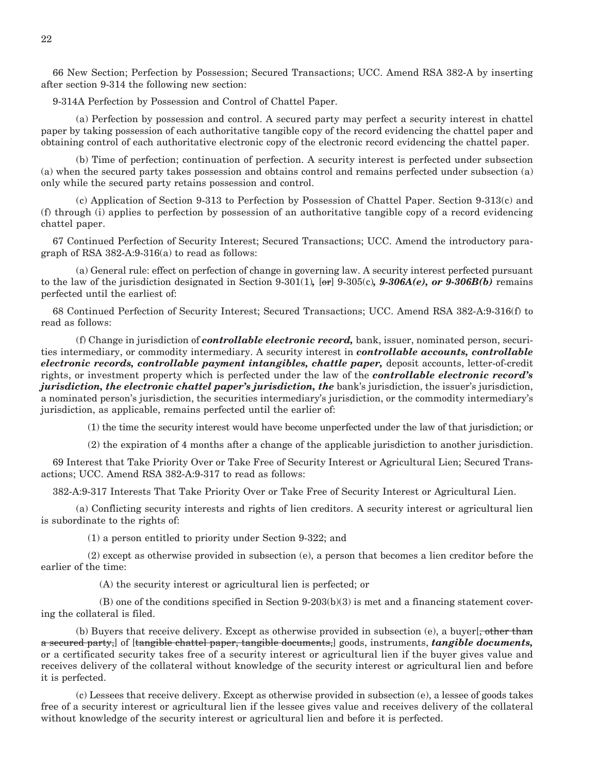66 New Section; Perfection by Possession; Secured Transactions; UCC. Amend RSA 382-A by inserting after section 9-314 the following new section:

9-314A Perfection by Possession and Control of Chattel Paper.

 (a) Perfection by possession and control. A secured party may perfect a security interest in chattel paper by taking possession of each authoritative tangible copy of the record evidencing the chattel paper and obtaining control of each authoritative electronic copy of the electronic record evidencing the chattel paper.

 (b) Time of perfection; continuation of perfection. A security interest is perfected under subsection (a) when the secured party takes possession and obtains control and remains perfected under subsection (a) only while the secured party retains possession and control.

 (c) Application of Section 9-313 to Perfection by Possession of Chattel Paper. Section 9-313(c) and (f) through (i) applies to perfection by possession of an authoritative tangible copy of a record evidencing chattel paper.

67 Continued Perfection of Security Interest; Secured Transactions; UCC. Amend the introductory paragraph of RSA 382-A:9-316(a) to read as follows:

 (a) General rule: effect on perfection of change in governing law. A security interest perfected pursuant to the law of the jurisdiction designated in Section 9-301(1), [or] 9-305(c), 9-306A(e), or 9-306B(b) remains perfected until the earliest of:

68 Continued Perfection of Security Interest; Secured Transactions; UCC. Amend RSA 382-A:9-316(f) to read as follows:

 (f) Change in jurisdiction of *controllable electronic record,* bank, issuer, nominated person, securities intermediary, or commodity intermediary. A security interest in *controllable accounts, controllable electronic records, controllable payment intangibles, chattle paper,* deposit accounts, letter-of-credit rights, or investment property which is perfected under the law of the *controllable electronic record's jurisdiction, the electronic chattel paper's jurisdiction, the bank's jurisdiction, the issuer's jurisdiction,* a nominated person's jurisdiction, the securities intermediary's jurisdiction, or the commodity intermediary's jurisdiction, as applicable, remains perfected until the earlier of:

(1) the time the security interest would have become unperfected under the law of that jurisdiction; or

(2) the expiration of 4 months after a change of the applicable jurisdiction to another jurisdiction.

69 Interest that Take Priority Over or Take Free of Security Interest or Agricultural Lien; Secured Transactions; UCC. Amend RSA 382-A:9-317 to read as follows:

382-A:9-317 Interests That Take Priority Over or Take Free of Security Interest or Agricultural Lien.

 (a) Conflicting security interests and rights of lien creditors. A security interest or agricultural lien is subordinate to the rights of:

(1) a person entitled to priority under Section 9-322; and

 (2) except as otherwise provided in subsection (e), a person that becomes a lien creditor before the earlier of the time:

(A) the security interest or agricultural lien is perfected; or

 $(B)$  one of the conditions specified in Section 9-203(b)(3) is met and a financing statement covering the collateral is filed.

(b) Buyers that receive delivery. Except as otherwise provided in subsection (e), a buyer $\frac{1}{2}$ , other than a secured party,] of [tangible chattel paper, tangible documents,] goods, instruments, *tangible documents,* or a certificated security takes free of a security interest or agricultural lien if the buyer gives value and receives delivery of the collateral without knowledge of the security interest or agricultural lien and before it is perfected.

 (c) Lessees that receive delivery. Except as otherwise provided in subsection (e), a lessee of goods takes free of a security interest or agricultural lien if the lessee gives value and receives delivery of the collateral without knowledge of the security interest or agricultural lien and before it is perfected.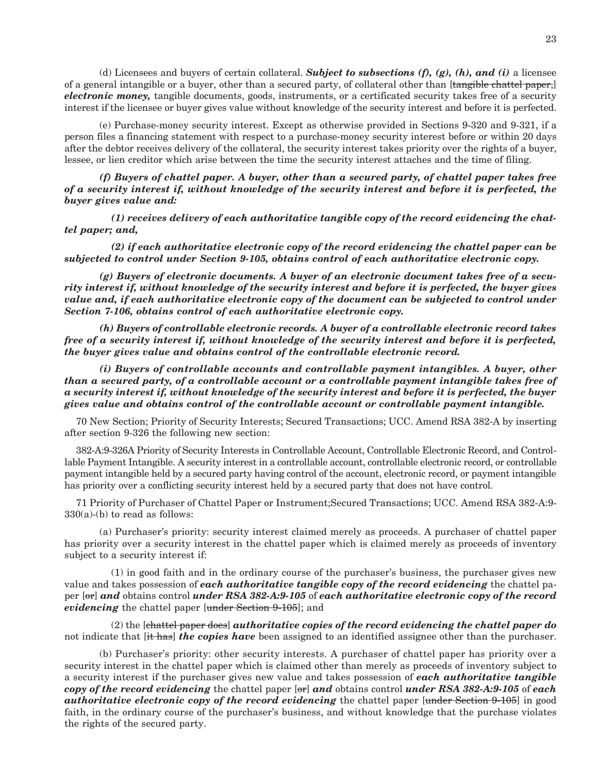(d) Licensees and buyers of certain collateral. *Subject to subsections (f), (g), (h), and (i)* a licensee of a general intangible or a buyer, other than a secured party, of collateral other than [tangible chattel paper,] *electronic money,* tangible documents, goods, instruments, or a certificated security takes free of a security interest if the licensee or buyer gives value without knowledge of the security interest and before it is perfected.

 (e) Purchase-money security interest. Except as otherwise provided in Sections 9-320 and 9-321, if a person files a financing statement with respect to a purchase-money security interest before or within 20 days after the debtor receives delivery of the collateral, the security interest takes priority over the rights of a buyer, lessee, or lien creditor which arise between the time the security interest attaches and the time of filing.

 *(f) Buyers of chattel paper. A buyer, other than a secured party, of chattel paper takes free of a security interest if, without knowledge of the security interest and before it is perfected, the buyer gives value and:*

 *(1) receives delivery of each authoritative tangible copy of the record evidencing the chattel paper; and,*

 *(2) if each authoritative electronic copy of the record evidencing the chattel paper can be subjected to control under Section 9-105, obtains control of each authoritative electronic copy.*

 *(g) Buyers of electronic documents. A buyer of an electronic document takes free of a security interest if, without knowledge of the security interest and before it is perfected, the buyer gives value and, if each authoritative electronic copy of the document can be subjected to control under Section 7-106, obtains control of each authoritative electronic copy.*

 *(h) Buyers of controllable electronic records. A buyer of a controllable electronic record takes free of a security interest if, without knowledge of the security interest and before it is perfected, the buyer gives value and obtains control of the controllable electronic record.*

 *(i) Buyers of controllable accounts and controllable payment intangibles. A buyer, other than a secured party, of a controllable account or a controllable payment intangible takes free of a security interest if, without knowledge of the security interest and before it is perfected, the buyer gives value and obtains control of the controllable account or controllable payment intangible.*

70 New Section; Priority of Security Interests; Secured Transactions; UCC. Amend RSA 382-A by inserting after section 9-326 the following new section:

382-A:9-326A Priority of Security Interests in Controllable Account, Controllable Electronic Record, and Controllable Payment Intangible. A security interest in a controllable account, controllable electronic record, or controllable payment intangible held by a secured party having control of the account, electronic record, or payment intangible has priority over a conflicting security interest held by a secured party that does not have control.

71 Priority of Purchaser of Chattel Paper or Instrument;Secured Transactions; UCC. Amend RSA 382-A:9-  $330(a)$ -(b) to read as follows:

 (a) Purchaser's priority: security interest claimed merely as proceeds. A purchaser of chattel paper has priority over a security interest in the chattel paper which is claimed merely as proceeds of inventory subject to a security interest if:

 (1) in good faith and in the ordinary course of the purchaser's business, the purchaser gives new value and takes possession of *each authoritative tangible copy of the record evidencing* the chattel paper [or] *and* obtains control *under RSA 382-A:9-105* of *each authoritative electronic copy of the record evidencing* the chattel paper [under Section 9-105]; and

 (2) the [chattel paper does] *authoritative copies of the record evidencing the chattel paper do*  not indicate that [it has] *the copies have* been assigned to an identified assignee other than the purchaser.

 (b) Purchaser's priority: other security interests. A purchaser of chattel paper has priority over a security interest in the chattel paper which is claimed other than merely as proceeds of inventory subject to a security interest if the purchaser gives new value and takes possession of *each authoritative tangible copy of the record evidencing* the chattel paper [or] *and* obtains control *under RSA 382-A:9-105* of *each authoritative electronic copy of the record evidencing* the chattel paper [under Section 9-105] in good faith, in the ordinary course of the purchaser's business, and without knowledge that the purchase violates the rights of the secured party.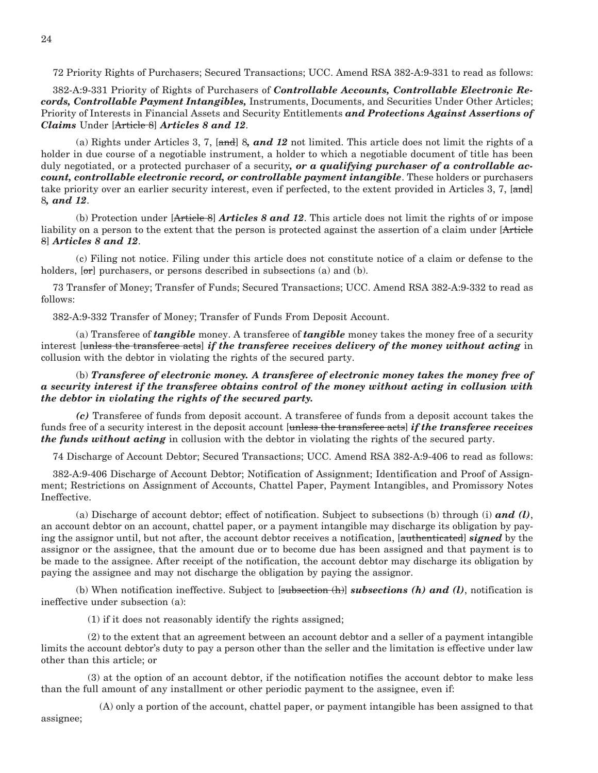72 Priority Rights of Purchasers; Secured Transactions; UCC. Amend RSA 382-A:9-331 to read as follows:

382-A:9-331 Priority of Rights of Purchasers of *Controllable Accounts, Controllable Electronic Records, Controllable Payment Intangibles,* Instruments, Documents, and Securities Under Other Articles; Priority of Interests in Financial Assets and Security Entitlements *and Protections Against Assertions of Claims* Under [Article 8] *Articles 8 and 12*.

 (a) Rights under Articles 3, 7, [and] 8*, and 12* not limited. This article does not limit the rights of a holder in due course of a negotiable instrument, a holder to which a negotiable document of title has been duly negotiated, or a protected purchaser of a security, or a qualifying purchaser of a controllable ac*count, controllable electronic record, or controllable payment intangible*. These holders or purchasers take priority over an earlier security interest, even if perfected, to the extent provided in Articles 3, 7, [and] 8*, and 12*.

 (b) Protection under [Article 8] *Articles 8 and 12*. This article does not limit the rights of or impose liability on a person to the extent that the person is protected against the assertion of a claim under [Article 8] *Articles 8 and 12*.

 (c) Filing not notice. Filing under this article does not constitute notice of a claim or defense to the holders,  $\sigma$  | purchasers, or persons described in subsections (a) and (b).

73 Transfer of Money; Transfer of Funds; Secured Transactions; UCC. Amend RSA 382-A:9-332 to read as follows:

382-A:9-332 Transfer of Money; Transfer of Funds From Deposit Account.

 (a) Transferee of *tangible* money. A transferee of *tangible* money takes the money free of a security interest [unless the transferee acts] *if the transferee receives delivery of the money without acting* in collusion with the debtor in violating the rights of the secured party.

# (b) *Transferee of electronic money. A transferee of electronic money takes the money free of a security interest if the transferee obtains control of the money without acting in collusion with the debtor in violating the rights of the secured party.*

 *(c)* Transferee of funds from deposit account. A transferee of funds from a deposit account takes the funds free of a security interest in the deposit account [unless the transferee acts] *if the transferee receives the funds without acting* in collusion with the debtor in violating the rights of the secured party.

74 Discharge of Account Debtor; Secured Transactions; UCC. Amend RSA 382-A:9-406 to read as follows:

382-A:9-406 Discharge of Account Debtor; Notification of Assignment; Identification and Proof of Assignment; Restrictions on Assignment of Accounts, Chattel Paper, Payment Intangibles, and Promissory Notes Ineffective.

 (a) Discharge of account debtor; effect of notification. Subject to subsections (b) through (i) *and (l)*, an account debtor on an account, chattel paper, or a payment intangible may discharge its obligation by paying the assignor until, but not after, the account debtor receives a notification, [authenticated] *signed* by the assignor or the assignee, that the amount due or to become due has been assigned and that payment is to be made to the assignee. After receipt of the notification, the account debtor may discharge its obligation by paying the assignee and may not discharge the obligation by paying the assignor.

 (b) When notification ineffective. Subject to [subsection (h)] *subsections (h) and (l)*, notification is ineffective under subsection (a):

(1) if it does not reasonably identify the rights assigned;

 (2) to the extent that an agreement between an account debtor and a seller of a payment intangible limits the account debtor's duty to pay a person other than the seller and the limitation is effective under law other than this article; or

 (3) at the option of an account debtor, if the notification notifies the account debtor to make less than the full amount of any installment or other periodic payment to the assignee, even if:

 (A) only a portion of the account, chattel paper, or payment intangible has been assigned to that assignee;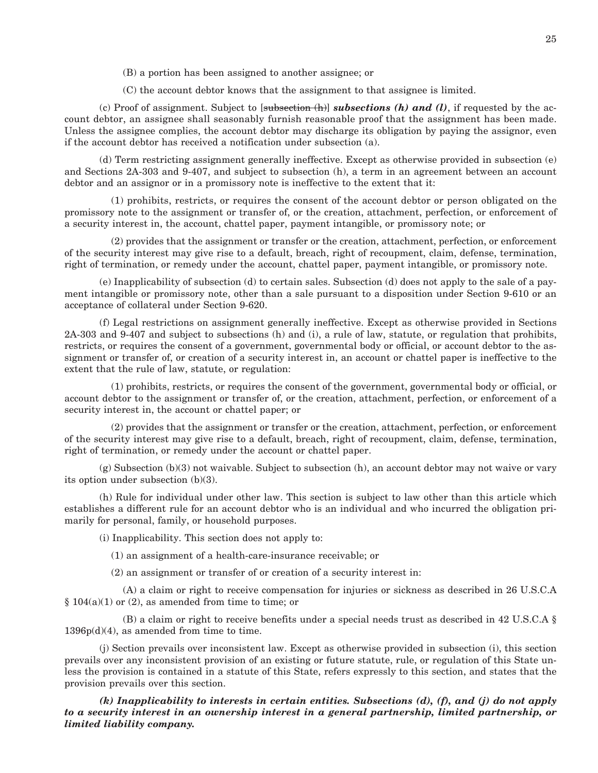- (B) a portion has been assigned to another assignee; or
- (C) the account debtor knows that the assignment to that assignee is limited.

(c) Proof of assignment. Subject to  $[subsection(h)]$  *subsections (h) and (l)*, if requested by the account debtor, an assignee shall seasonably furnish reasonable proof that the assignment has been made. Unless the assignee complies, the account debtor may discharge its obligation by paying the assignor, even if the account debtor has received a notification under subsection (a).

 (d) Term restricting assignment generally ineffective. Except as otherwise provided in subsection (e) and Sections 2A-303 and 9-407, and subject to subsection (h), a term in an agreement between an account debtor and an assignor or in a promissory note is ineffective to the extent that it:

 (1) prohibits, restricts, or requires the consent of the account debtor or person obligated on the promissory note to the assignment or transfer of, or the creation, attachment, perfection, or enforcement of a security interest in, the account, chattel paper, payment intangible, or promissory note; or

 (2) provides that the assignment or transfer or the creation, attachment, perfection, or enforcement of the security interest may give rise to a default, breach, right of recoupment, claim, defense, termination, right of termination, or remedy under the account, chattel paper, payment intangible, or promissory note.

 (e) Inapplicability of subsection (d) to certain sales. Subsection (d) does not apply to the sale of a payment intangible or promissory note, other than a sale pursuant to a disposition under Section 9-610 or an acceptance of collateral under Section 9-620.

 (f) Legal restrictions on assignment generally ineffective. Except as otherwise provided in Sections 2A-303 and 9-407 and subject to subsections (h) and (i), a rule of law, statute, or regulation that prohibits, restricts, or requires the consent of a government, governmental body or official, or account debtor to the assignment or transfer of, or creation of a security interest in, an account or chattel paper is ineffective to the extent that the rule of law, statute, or regulation:

 (1) prohibits, restricts, or requires the consent of the government, governmental body or official, or account debtor to the assignment or transfer of, or the creation, attachment, perfection, or enforcement of a security interest in, the account or chattel paper; or

 (2) provides that the assignment or transfer or the creation, attachment, perfection, or enforcement of the security interest may give rise to a default, breach, right of recoupment, claim, defense, termination, right of termination, or remedy under the account or chattel paper.

 (g) Subsection (b)(3) not waivable. Subject to subsection (h), an account debtor may not waive or vary its option under subsection (b)(3).

 (h) Rule for individual under other law. This section is subject to law other than this article which establishes a different rule for an account debtor who is an individual and who incurred the obligation primarily for personal, family, or household purposes.

(i) Inapplicability. This section does not apply to:

(1) an assignment of a health-care-insurance receivable; or

(2) an assignment or transfer of or creation of a security interest in:

 (A) a claim or right to receive compensation for injuries or sickness as described in 26 U.S.C.A  $§ 104(a)(1)$  or  $(2)$ , as amended from time to time; or

 (B) a claim or right to receive benefits under a special needs trust as described in 42 U.S.C.A §  $1396p(d)(4)$ , as amended from time to time.

 (j) Section prevails over inconsistent law. Except as otherwise provided in subsection (i), this section prevails over any inconsistent provision of an existing or future statute, rule, or regulation of this State unless the provision is contained in a statute of this State, refers expressly to this section, and states that the provision prevails over this section.

 *(k) Inapplicability to interests in certain entities. Subsections (d), (f), and (j) do not apply to a security interest in an ownership interest in a general partnership, limited partnership, or limited liability company.*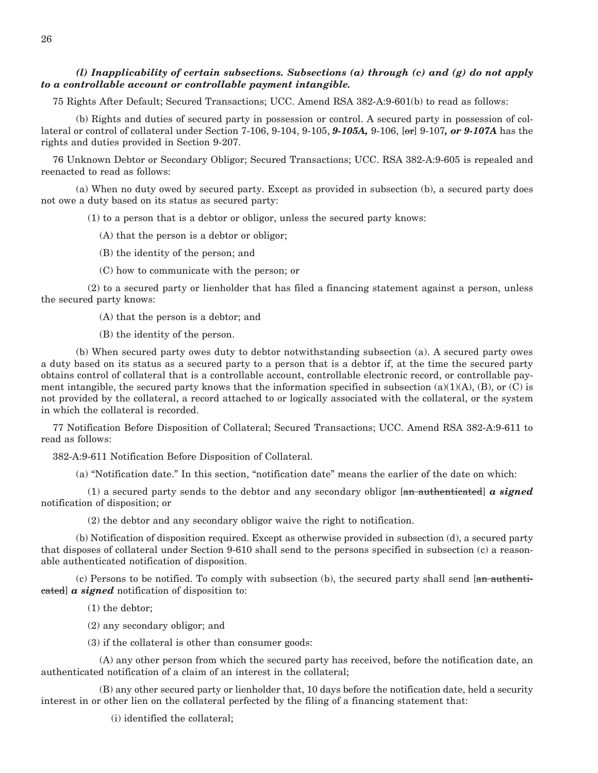#### *(l) Inapplicability of certain subsections. Subsections (a) through (c) and (g) do not apply to a controllable account or controllable payment intangible.*

75 Rights After Default; Secured Transactions; UCC. Amend RSA 382-A:9-601(b) to read as follows:

 (b) Rights and duties of secured party in possession or control. A secured party in possession of collateral or control of collateral under Section 7-106, 9-104, 9-105, *9-105A,* 9-106, [or] 9-107*, or 9-107A* has the rights and duties provided in Section 9-207.

76 Unknown Debtor or Secondary Obligor; Secured Transactions; UCC. RSA 382-A:9-605 is repealed and reenacted to read as follows:

 (a) When no duty owed by secured party. Except as provided in subsection (b), a secured party does not owe a duty based on its status as secured party:

(1) to a person that is a debtor or obligor, unless the secured party knows:

(A) that the person is a debtor or obligor;

(B) the identity of the person; and

(C) how to communicate with the person; or

 (2) to a secured party or lienholder that has filed a financing statement against a person, unless the secured party knows:

(A) that the person is a debtor; and

(B) the identity of the person.

 (b) When secured party owes duty to debtor notwithstanding subsection (a). A secured party owes a duty based on its status as a secured party to a person that is a debtor if, at the time the secured party obtains control of collateral that is a controllable account, controllable electronic record, or controllable payment intangible, the secured party knows that the information specified in subsection  $(a)(1)(A)$ ,  $(B)$ , or  $(C)$  is not provided by the collateral, a record attached to or logically associated with the collateral, or the system in which the collateral is recorded.

77 Notification Before Disposition of Collateral; Secured Transactions; UCC. Amend RSA 382-A:9-611 to read as follows:

382-A:9-611 Notification Before Disposition of Collateral.

(a) "Notification date." In this section, "notification date" means the earlier of the date on which:

 $(1)$  a secured party sends to the debtor and any secondary obligor  $\left[\frac{an \text{ authenticated}}{an \text{t}}\right]$  a signed notification of disposition; or

(2) the debtor and any secondary obligor waive the right to notification.

 (b) Notification of disposition required. Except as otherwise provided in subsection (d), a secured party that disposes of collateral under Section 9-610 shall send to the persons specified in subsection (c) a reasonable authenticated notification of disposition.

 (c) Persons to be notified. To comply with subsection (b), the secured party shall send [an authenticated] *a signed* notification of disposition to:

(1) the debtor;

(2) any secondary obligor; and

(3) if the collateral is other than consumer goods:

 (A) any other person from which the secured party has received, before the notification date, an authenticated notification of a claim of an interest in the collateral;

 (B) any other secured party or lienholder that, 10 days before the notification date, held a security interest in or other lien on the collateral perfected by the filing of a financing statement that:

(i) identified the collateral;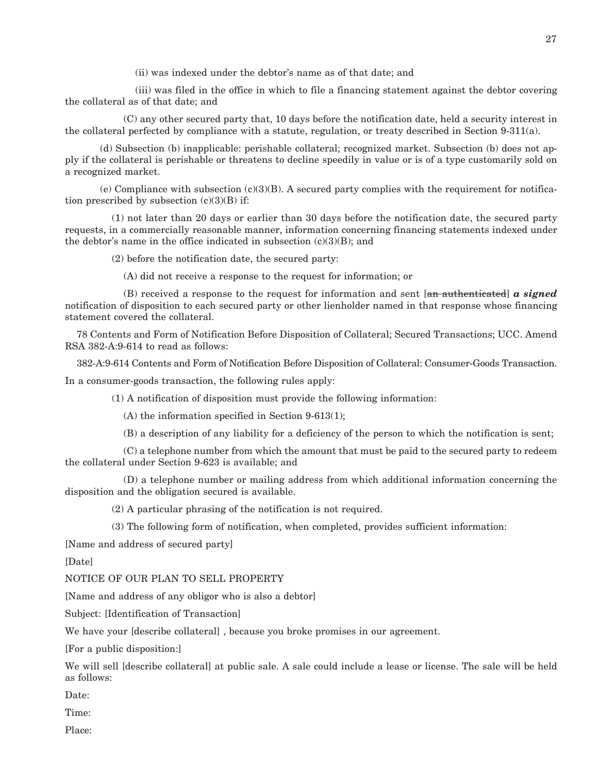(ii) was indexed under the debtor's name as of that date; and

 (iii) was filed in the office in which to file a financing statement against the debtor covering the collateral as of that date; and

 (C) any other secured party that, 10 days before the notification date, held a security interest in the collateral perfected by compliance with a statute, regulation, or treaty described in Section 9-311(a).

 (d) Subsection (b) inapplicable: perishable collateral; recognized market. Subsection (b) does not apply if the collateral is perishable or threatens to decline speedily in value or is of a type customarily sold on a recognized market.

(e) Compliance with subsection  $(c)(3)(B)$ . A secured party complies with the requirement for notification prescribed by subsection  $(c)(3)(B)$  if:

 (1) not later than 20 days or earlier than 30 days before the notification date, the secured party requests, in a commercially reasonable manner, information concerning financing statements indexed under the debtor's name in the office indicated in subsection  $(c)(3)(B)$ ; and

(2) before the notification date, the secured party:

(A) did not receive a response to the request for information; or

 (B) received a response to the request for information and sent [an authenticated] *a signed*  notification of disposition to each secured party or other lienholder named in that response whose financing statement covered the collateral.

78 Contents and Form of Notification Before Disposition of Collateral; Secured Transactions; UCC. Amend RSA 382-A:9-614 to read as follows:

382-A:9-614 Contents and Form of Notification Before Disposition of Collateral: Consumer-Goods Transaction.

In a consumer-goods transaction, the following rules apply:

(1) A notification of disposition must provide the following information:

(A) the information specified in Section 9-613(1);

(B) a description of any liability for a deficiency of the person to which the notification is sent;

 (C) a telephone number from which the amount that must be paid to the secured party to redeem the collateral under Section 9-623 is available; and

 (D) a telephone number or mailing address from which additional information concerning the disposition and the obligation secured is available.

(2) A particular phrasing of the notification is not required.

(3) The following form of notification, when completed, provides sufficient information:

[Name and address of secured party]

[Date]

NOTICE OF OUR PLAN TO SELL PROPERTY

[Name and address of any obligor who is also a debtor]

Subject: [Identification of Transaction]

We have your [describe collateral] , because you broke promises in our agreement.

[For a public disposition:]

We will sell [describe collateral] at public sale. A sale could include a lease or license. The sale will be held as follows:

Date:

Time:

Place: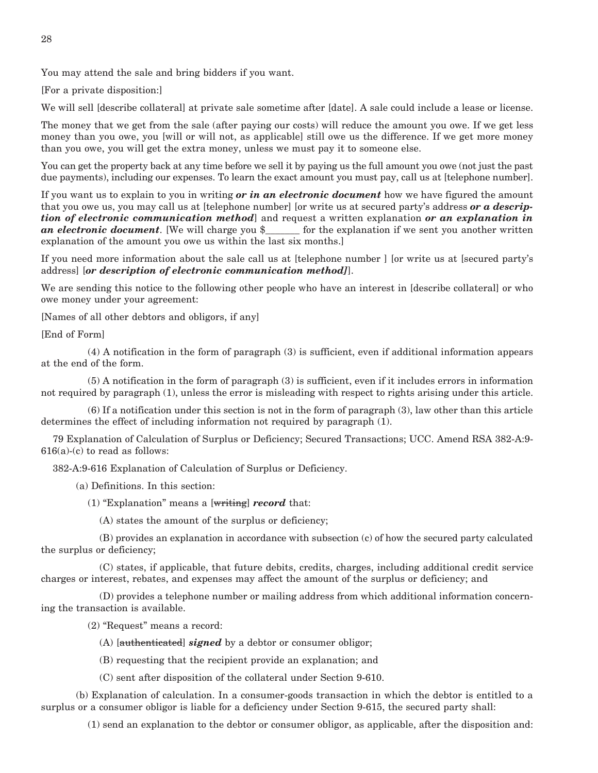You may attend the sale and bring bidders if you want.

[For a private disposition:]

We will sell [describe collateral] at private sale sometime after [date]. A sale could include a lease or license.

The money that we get from the sale (after paying our costs) will reduce the amount you owe. If we get less money than you owe, you [will or will not, as applicable] still owe us the difference. If we get more money than you owe, you will get the extra money, unless we must pay it to someone else.

You can get the property back at any time before we sell it by paying us the full amount you owe (not just the past due payments), including our expenses. To learn the exact amount you must pay, call us at [telephone number].

If you want us to explain to you in writing *or in an electronic document* how we have figured the amount that you owe us, you may call us at [telephone number] [or write us at secured party's address *or a description of electronic communication method*] and request a written explanation *or an explanation in an electronic document*. [We will charge you \$\_\_\_\_\_\_\_ for the explanation if we sent you another written explanation of the amount you owe us within the last six months.]

If you need more information about the sale call us at [telephone number ] [or write us at [secured party's address] [*or description of electronic communication method]*].

We are sending this notice to the following other people who have an interest in [describe collateral] or who owe money under your agreement:

[Names of all other debtors and obligors, if any]

[End of Form]

 (4) A notification in the form of paragraph (3) is sufficient, even if additional information appears at the end of the form.

 (5) A notification in the form of paragraph (3) is sufficient, even if it includes errors in information not required by paragraph (1), unless the error is misleading with respect to rights arising under this article.

 (6) If a notification under this section is not in the form of paragraph (3), law other than this article determines the effect of including information not required by paragraph (1).

79 Explanation of Calculation of Surplus or Deficiency; Secured Transactions; UCC. Amend RSA 382-A:9-  $616(a)-(c)$  to read as follows:

382-A:9-616 Explanation of Calculation of Surplus or Deficiency.

(a) Definitions. In this section:

(1) "Explanation" means a [writing] *record* that:

(A) states the amount of the surplus or deficiency;

 (B) provides an explanation in accordance with subsection (c) of how the secured party calculated the surplus or deficiency;

 (C) states, if applicable, that future debits, credits, charges, including additional credit service charges or interest, rebates, and expenses may affect the amount of the surplus or deficiency; and

 (D) provides a telephone number or mailing address from which additional information concerning the transaction is available.

(2) "Request" means a record:

(A) [authenticated] *signed* by a debtor or consumer obligor;

(B) requesting that the recipient provide an explanation; and

(C) sent after disposition of the collateral under Section 9-610.

 (b) Explanation of calculation. In a consumer-goods transaction in which the debtor is entitled to a surplus or a consumer obligor is liable for a deficiency under Section 9-615, the secured party shall:

(1) send an explanation to the debtor or consumer obligor, as applicable, after the disposition and: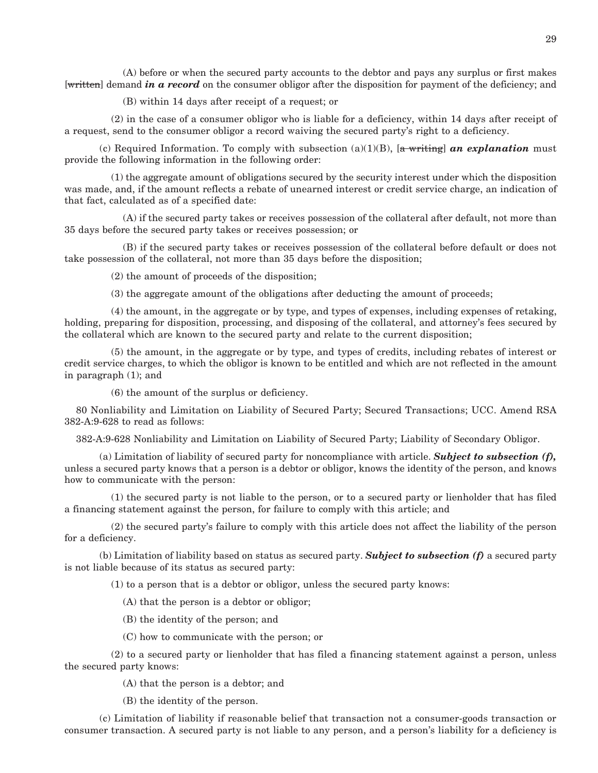(A) before or when the secured party accounts to the debtor and pays any surplus or first makes [written] demand *in a record* on the consumer obligor after the disposition for payment of the deficiency; and

(B) within 14 days after receipt of a request; or

 (2) in the case of a consumer obligor who is liable for a deficiency, within 14 days after receipt of a request, send to the consumer obligor a record waiving the secured party's right to a deficiency.

 (c) Required Information. To comply with subsection (a)(1)(B), [a writing] *an explanation* must provide the following information in the following order:

 (1) the aggregate amount of obligations secured by the security interest under which the disposition was made, and, if the amount reflects a rebate of unearned interest or credit service charge, an indication of that fact, calculated as of a specified date:

 (A) if the secured party takes or receives possession of the collateral after default, not more than 35 days before the secured party takes or receives possession; or

 (B) if the secured party takes or receives possession of the collateral before default or does not take possession of the collateral, not more than 35 days before the disposition;

(2) the amount of proceeds of the disposition;

(3) the aggregate amount of the obligations after deducting the amount of proceeds;

 (4) the amount, in the aggregate or by type, and types of expenses, including expenses of retaking, holding, preparing for disposition, processing, and disposing of the collateral, and attorney's fees secured by the collateral which are known to the secured party and relate to the current disposition;

 (5) the amount, in the aggregate or by type, and types of credits, including rebates of interest or credit service charges, to which the obligor is known to be entitled and which are not reflected in the amount in paragraph (1); and

(6) the amount of the surplus or deficiency.

80 Nonliability and Limitation on Liability of Secured Party; Secured Transactions; UCC. Amend RSA 382-A:9-628 to read as follows:

382-A:9-628 Nonliability and Limitation on Liability of Secured Party; Liability of Secondary Obligor.

 (a) Limitation of liability of secured party for noncompliance with article. *Subject to subsection (f),*  unless a secured party knows that a person is a debtor or obligor, knows the identity of the person, and knows how to communicate with the person:

 (1) the secured party is not liable to the person, or to a secured party or lienholder that has filed a financing statement against the person, for failure to comply with this article; and

 (2) the secured party's failure to comply with this article does not affect the liability of the person for a deficiency.

 (b) Limitation of liability based on status as secured party. *Subject to subsection (f)* a secured party is not liable because of its status as secured party:

(1) to a person that is a debtor or obligor, unless the secured party knows:

(A) that the person is a debtor or obligor;

(B) the identity of the person; and

(C) how to communicate with the person; or

 (2) to a secured party or lienholder that has filed a financing statement against a person, unless the secured party knows:

(A) that the person is a debtor; and

(B) the identity of the person.

 (c) Limitation of liability if reasonable belief that transaction not a consumer-goods transaction or consumer transaction. A secured party is not liable to any person, and a person's liability for a deficiency is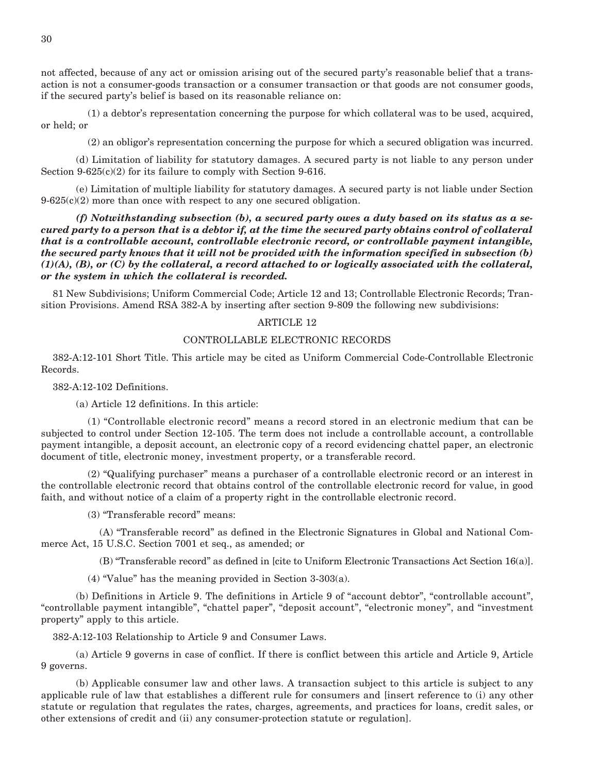not affected, because of any act or omission arising out of the secured party's reasonable belief that a transaction is not a consumer-goods transaction or a consumer transaction or that goods are not consumer goods, if the secured party's belief is based on its reasonable reliance on:

 (1) a debtor's representation concerning the purpose for which collateral was to be used, acquired, or held; or

(2) an obligor's representation concerning the purpose for which a secured obligation was incurred.

 (d) Limitation of liability for statutory damages. A secured party is not liable to any person under Section  $9-625(c)(2)$  for its failure to comply with Section 9-616.

 (e) Limitation of multiple liability for statutory damages. A secured party is not liable under Section  $9-625(c)(2)$  more than once with respect to any one secured obligation.

## *(f) Notwithstanding subsection (b), a secured party owes a duty based on its status as a secured party to a person that is a debtor if, at the time the secured party obtains control of collateral that is a controllable account, controllable electronic record, or controllable payment intangible, the secured party knows that it will not be provided with the information specified in subsection (b) (1)(A), (B), or (C) by the collateral, a record attached to or logically associated with the collateral, or the system in which the collateral is recorded.*

81 New Subdivisions; Uniform Commercial Code; Article 12 and 13; Controllable Electronic Records; Transition Provisions. Amend RSA 382-A by inserting after section 9-809 the following new subdivisions:

### ARTICLE 12

#### CONTROLLABLE ELECTRONIC RECORDS

382-A:12-101 Short Title. This article may be cited as Uniform Commercial Code-Controllable Electronic Records.

382-A:12-102 Definitions.

(a) Article 12 definitions. In this article:

 (1) "Controllable electronic record" means a record stored in an electronic medium that can be subjected to control under Section 12-105. The term does not include a controllable account, a controllable payment intangible, a deposit account, an electronic copy of a record evidencing chattel paper, an electronic document of title, electronic money, investment property, or a transferable record.

 (2) "Qualifying purchaser" means a purchaser of a controllable electronic record or an interest in the controllable electronic record that obtains control of the controllable electronic record for value, in good faith, and without notice of a claim of a property right in the controllable electronic record.

(3) "Transferable record" means:

 (A) "Transferable record" as defined in the Electronic Signatures in Global and National Commerce Act, 15 U.S.C. Section 7001 et seq., as amended; or

(B) "Transferable record" as defined in [cite to Uniform Electronic Transactions Act Section 16(a)].

(4) "Value" has the meaning provided in Section 3-303(a).

 (b) Definitions in Article 9. The definitions in Article 9 of "account debtor", "controllable account", "controllable payment intangible", "chattel paper", "deposit account", "electronic money", and "investment property" apply to this article.

382-A:12-103 Relationship to Article 9 and Consumer Laws.

 (a) Article 9 governs in case of conflict. If there is conflict between this article and Article 9, Article 9 governs.

 (b) Applicable consumer law and other laws. A transaction subject to this article is subject to any applicable rule of law that establishes a different rule for consumers and [insert reference to (i) any other statute or regulation that regulates the rates, charges, agreements, and practices for loans, credit sales, or other extensions of credit and (ii) any consumer-protection statute or regulation].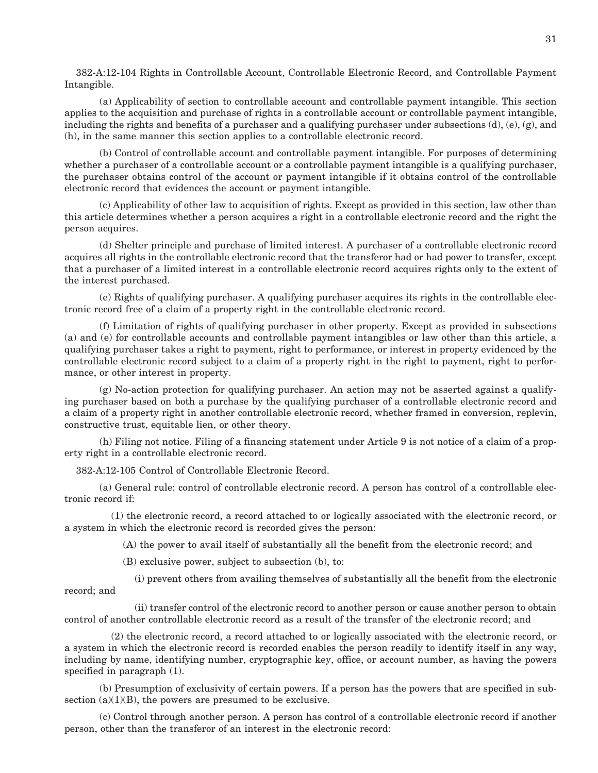382-A:12-104 Rights in Controllable Account, Controllable Electronic Record, and Controllable Payment Intangible.

 (a) Applicability of section to controllable account and controllable payment intangible. This section applies to the acquisition and purchase of rights in a controllable account or controllable payment intangible, including the rights and benefits of a purchaser and a qualifying purchaser under subsections (d), (e), (g), and (h), in the same manner this section applies to a controllable electronic record.

 (b) Control of controllable account and controllable payment intangible. For purposes of determining whether a purchaser of a controllable account or a controllable payment intangible is a qualifying purchaser, the purchaser obtains control of the account or payment intangible if it obtains control of the controllable electronic record that evidences the account or payment intangible.

 (c) Applicability of other law to acquisition of rights. Except as provided in this section, law other than this article determines whether a person acquires a right in a controllable electronic record and the right the person acquires.

 (d) Shelter principle and purchase of limited interest. A purchaser of a controllable electronic record acquires all rights in the controllable electronic record that the transferor had or had power to transfer, except that a purchaser of a limited interest in a controllable electronic record acquires rights only to the extent of the interest purchased.

 (e) Rights of qualifying purchaser. A qualifying purchaser acquires its rights in the controllable electronic record free of a claim of a property right in the controllable electronic record.

 (f) Limitation of rights of qualifying purchaser in other property. Except as provided in subsections (a) and (e) for controllable accounts and controllable payment intangibles or law other than this article, a qualifying purchaser takes a right to payment, right to performance, or interest in property evidenced by the controllable electronic record subject to a claim of a property right in the right to payment, right to performance, or other interest in property.

 (g) No-action protection for qualifying purchaser. An action may not be asserted against a qualifying purchaser based on both a purchase by the qualifying purchaser of a controllable electronic record and a claim of a property right in another controllable electronic record, whether framed in conversion, replevin, constructive trust, equitable lien, or other theory.

 (h) Filing not notice. Filing of a financing statement under Article 9 is not notice of a claim of a property right in a controllable electronic record.

382-A:12-105 Control of Controllable Electronic Record.

 (a) General rule: control of controllable electronic record. A person has control of a controllable electronic record if:

 (1) the electronic record, a record attached to or logically associated with the electronic record, or a system in which the electronic record is recorded gives the person:

(A) the power to avail itself of substantially all the benefit from the electronic record; and

(B) exclusive power, subject to subsection (b), to:

 (i) prevent others from availing themselves of substantially all the benefit from the electronic record; and

 (ii) transfer control of the electronic record to another person or cause another person to obtain control of another controllable electronic record as a result of the transfer of the electronic record; and

 (2) the electronic record, a record attached to or logically associated with the electronic record, or a system in which the electronic record is recorded enables the person readily to identify itself in any way, including by name, identifying number, cryptographic key, office, or account number, as having the powers specified in paragraph (1).

 (b) Presumption of exclusivity of certain powers. If a person has the powers that are specified in subsection  $(a)(1)(B)$ , the powers are presumed to be exclusive.

 (c) Control through another person. A person has control of a controllable electronic record if another person, other than the transferor of an interest in the electronic record: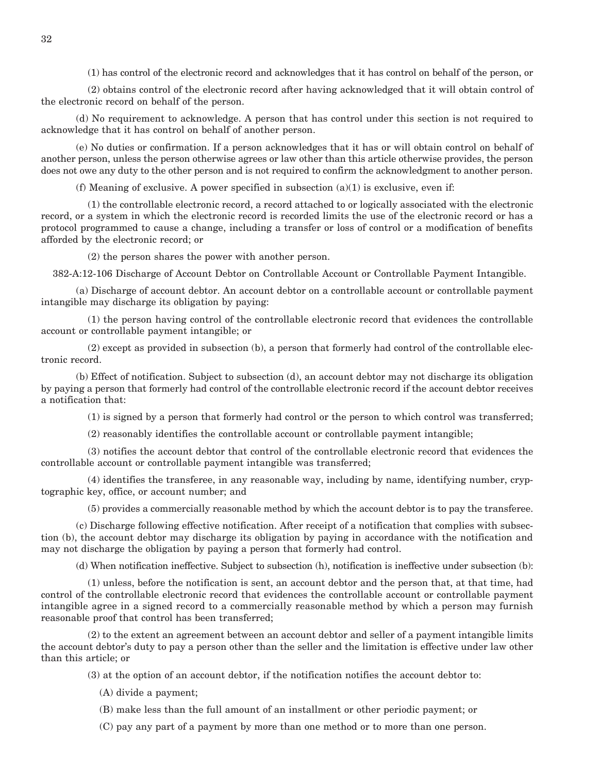(1) has control of the electronic record and acknowledges that it has control on behalf of the person, or

 (2) obtains control of the electronic record after having acknowledged that it will obtain control of the electronic record on behalf of the person.

 (d) No requirement to acknowledge. A person that has control under this section is not required to acknowledge that it has control on behalf of another person.

 (e) No duties or confirmation. If a person acknowledges that it has or will obtain control on behalf of another person, unless the person otherwise agrees or law other than this article otherwise provides, the person does not owe any duty to the other person and is not required to confirm the acknowledgment to another person.

(f) Meaning of exclusive. A power specified in subsection  $(a)(1)$  is exclusive, even if:

 (1) the controllable electronic record, a record attached to or logically associated with the electronic record, or a system in which the electronic record is recorded limits the use of the electronic record or has a protocol programmed to cause a change, including a transfer or loss of control or a modification of benefits afforded by the electronic record; or

(2) the person shares the power with another person.

382-A:12-106 Discharge of Account Debtor on Controllable Account or Controllable Payment Intangible.

 (a) Discharge of account debtor. An account debtor on a controllable account or controllable payment intangible may discharge its obligation by paying:

 (1) the person having control of the controllable electronic record that evidences the controllable account or controllable payment intangible; or

 (2) except as provided in subsection (b), a person that formerly had control of the controllable electronic record.

 (b) Effect of notification. Subject to subsection (d), an account debtor may not discharge its obligation by paying a person that formerly had control of the controllable electronic record if the account debtor receives a notification that:

(1) is signed by a person that formerly had control or the person to which control was transferred;

(2) reasonably identifies the controllable account or controllable payment intangible;

 (3) notifies the account debtor that control of the controllable electronic record that evidences the controllable account or controllable payment intangible was transferred;

 (4) identifies the transferee, in any reasonable way, including by name, identifying number, cryptographic key, office, or account number; and

(5) provides a commercially reasonable method by which the account debtor is to pay the transferee.

 (c) Discharge following effective notification. After receipt of a notification that complies with subsection (b), the account debtor may discharge its obligation by paying in accordance with the notification and may not discharge the obligation by paying a person that formerly had control.

(d) When notification ineffective. Subject to subsection (h), notification is ineffective under subsection (b):

 (1) unless, before the notification is sent, an account debtor and the person that, at that time, had control of the controllable electronic record that evidences the controllable account or controllable payment intangible agree in a signed record to a commercially reasonable method by which a person may furnish reasonable proof that control has been transferred;

 (2) to the extent an agreement between an account debtor and seller of a payment intangible limits the account debtor's duty to pay a person other than the seller and the limitation is effective under law other than this article; or

(3) at the option of an account debtor, if the notification notifies the account debtor to:

(A) divide a payment;

(B) make less than the full amount of an installment or other periodic payment; or

(C) pay any part of a payment by more than one method or to more than one person.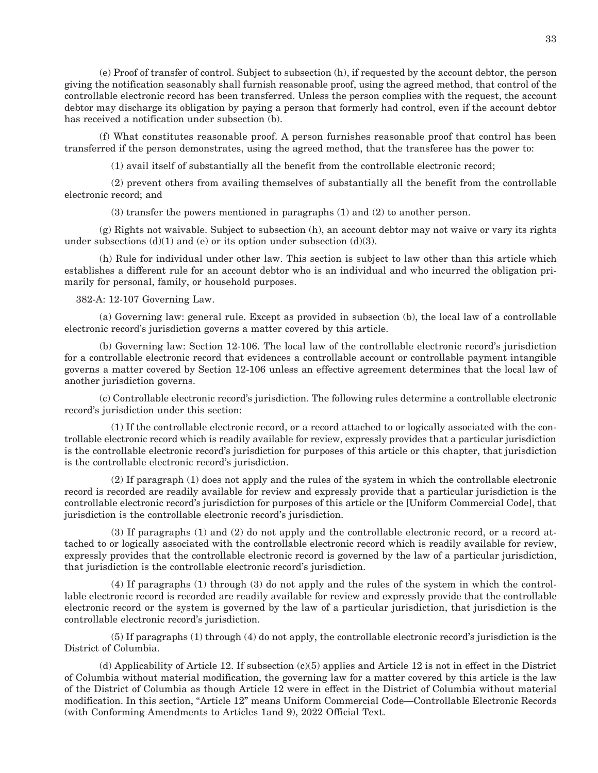(e) Proof of transfer of control. Subject to subsection (h), if requested by the account debtor, the person giving the notification seasonably shall furnish reasonable proof, using the agreed method, that control of the controllable electronic record has been transferred. Unless the person complies with the request, the account debtor may discharge its obligation by paying a person that formerly had control, even if the account debtor has received a notification under subsection (b).

 (f) What constitutes reasonable proof. A person furnishes reasonable proof that control has been transferred if the person demonstrates, using the agreed method, that the transferee has the power to:

(1) avail itself of substantially all the benefit from the controllable electronic record;

 (2) prevent others from availing themselves of substantially all the benefit from the controllable electronic record; and

(3) transfer the powers mentioned in paragraphs (1) and (2) to another person.

 (g) Rights not waivable. Subject to subsection (h), an account debtor may not waive or vary its rights under subsections  $(d)(1)$  and  $(e)$  or its option under subsection  $(d)(3)$ .

 (h) Rule for individual under other law. This section is subject to law other than this article which establishes a different rule for an account debtor who is an individual and who incurred the obligation primarily for personal, family, or household purposes.

382-A: 12-107 Governing Law.

 (a) Governing law: general rule. Except as provided in subsection (b), the local law of a controllable electronic record's jurisdiction governs a matter covered by this article.

 (b) Governing law: Section 12-106. The local law of the controllable electronic record's jurisdiction for a controllable electronic record that evidences a controllable account or controllable payment intangible governs a matter covered by Section 12-106 unless an effective agreement determines that the local law of another jurisdiction governs.

 (c) Controllable electronic record's jurisdiction. The following rules determine a controllable electronic record's jurisdiction under this section:

 (1) If the controllable electronic record, or a record attached to or logically associated with the controllable electronic record which is readily available for review, expressly provides that a particular jurisdiction is the controllable electronic record's jurisdiction for purposes of this article or this chapter, that jurisdiction is the controllable electronic record's jurisdiction.

 (2) If paragraph (1) does not apply and the rules of the system in which the controllable electronic record is recorded are readily available for review and expressly provide that a particular jurisdiction is the controllable electronic record's jurisdiction for purposes of this article or the [Uniform Commercial Code], that jurisdiction is the controllable electronic record's jurisdiction.

 (3) If paragraphs (1) and (2) do not apply and the controllable electronic record, or a record attached to or logically associated with the controllable electronic record which is readily available for review, expressly provides that the controllable electronic record is governed by the law of a particular jurisdiction, that jurisdiction is the controllable electronic record's jurisdiction.

 (4) If paragraphs (1) through (3) do not apply and the rules of the system in which the controllable electronic record is recorded are readily available for review and expressly provide that the controllable electronic record or the system is governed by the law of a particular jurisdiction, that jurisdiction is the controllable electronic record's jurisdiction.

 (5) If paragraphs (1) through (4) do not apply, the controllable electronic record's jurisdiction is the District of Columbia.

 (d) Applicability of Article 12. If subsection (c)(5) applies and Article 12 is not in effect in the District of Columbia without material modification, the governing law for a matter covered by this article is the law of the District of Columbia as though Article 12 were in effect in the District of Columbia without material modification. In this section, "Article 12" means Uniform Commercial Code—Controllable Electronic Records (with Conforming Amendments to Articles 1and 9), 2022 Official Text.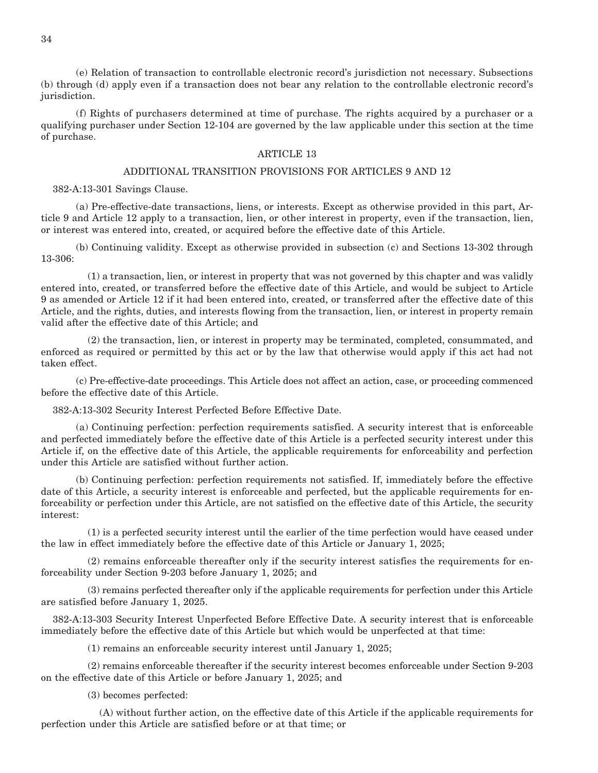(e) Relation of transaction to controllable electronic record's jurisdiction not necessary. Subsections (b) through (d) apply even if a transaction does not bear any relation to the controllable electronic record's jurisdiction.

 (f) Rights of purchasers determined at time of purchase. The rights acquired by a purchaser or a qualifying purchaser under Section 12-104 are governed by the law applicable under this section at the time of purchase.

#### ARTICLE 13

# ADDITIONAL TRANSITION PROVISIONS FOR ARTICLES 9 AND 12

#### 382-A:13-301 Savings Clause.

 (a) Pre-effective-date transactions, liens, or interests. Except as otherwise provided in this part, Article 9 and Article 12 apply to a transaction, lien, or other interest in property, even if the transaction, lien, or interest was entered into, created, or acquired before the effective date of this Article.

 (b) Continuing validity. Except as otherwise provided in subsection (c) and Sections 13-302 through 13-306:

 (1) a transaction, lien, or interest in property that was not governed by this chapter and was validly entered into, created, or transferred before the effective date of this Article, and would be subject to Article 9 as amended or Article 12 if it had been entered into, created, or transferred after the effective date of this Article, and the rights, duties, and interests flowing from the transaction, lien, or interest in property remain valid after the effective date of this Article; and

 (2) the transaction, lien, or interest in property may be terminated, completed, consummated, and enforced as required or permitted by this act or by the law that otherwise would apply if this act had not taken effect.

 (c) Pre-effective-date proceedings. This Article does not affect an action, case, or proceeding commenced before the effective date of this Article.

382-A:13-302 Security Interest Perfected Before Effective Date.

 (a) Continuing perfection: perfection requirements satisfied. A security interest that is enforceable and perfected immediately before the effective date of this Article is a perfected security interest under this Article if, on the effective date of this Article, the applicable requirements for enforceability and perfection under this Article are satisfied without further action.

 (b) Continuing perfection: perfection requirements not satisfied. If, immediately before the effective date of this Article, a security interest is enforceable and perfected, but the applicable requirements for enforceability or perfection under this Article, are not satisfied on the effective date of this Article, the security interest:

 (1) is a perfected security interest until the earlier of the time perfection would have ceased under the law in effect immediately before the effective date of this Article or January 1, 2025;

 (2) remains enforceable thereafter only if the security interest satisfies the requirements for enforceability under Section 9-203 before January 1, 2025; and

 (3) remains perfected thereafter only if the applicable requirements for perfection under this Article are satisfied before January 1, 2025.

382-A:13-303 Security Interest Unperfected Before Effective Date. A security interest that is enforceable immediately before the effective date of this Article but which would be unperfected at that time:

(1) remains an enforceable security interest until January 1, 2025;

 (2) remains enforceable thereafter if the security interest becomes enforceable under Section 9-203 on the effective date of this Article or before January 1, 2025; and

(3) becomes perfected:

 (A) without further action, on the effective date of this Article if the applicable requirements for perfection under this Article are satisfied before or at that time; or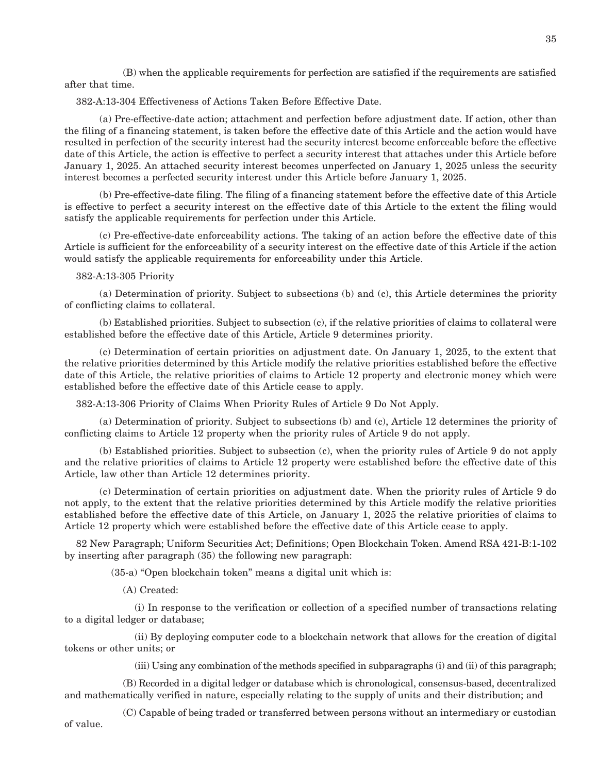(B) when the applicable requirements for perfection are satisfied if the requirements are satisfied after that time.

382-A:13-304 Effectiveness of Actions Taken Before Effective Date.

 (a) Pre-effective-date action; attachment and perfection before adjustment date. If action, other than the filing of a financing statement, is taken before the effective date of this Article and the action would have resulted in perfection of the security interest had the security interest become enforceable before the effective date of this Article, the action is effective to perfect a security interest that attaches under this Article before January 1, 2025. An attached security interest becomes unperfected on January 1, 2025 unless the security interest becomes a perfected security interest under this Article before January 1, 2025.

 (b) Pre-effective-date filing. The filing of a financing statement before the effective date of this Article is effective to perfect a security interest on the effective date of this Article to the extent the filing would satisfy the applicable requirements for perfection under this Article.

 (c) Pre-effective-date enforceability actions. The taking of an action before the effective date of this Article is sufficient for the enforceability of a security interest on the effective date of this Article if the action would satisfy the applicable requirements for enforceability under this Article.

#### 382-A:13-305 Priority

 (a) Determination of priority. Subject to subsections (b) and (c), this Article determines the priority of conflicting claims to collateral.

 (b) Established priorities. Subject to subsection (c), if the relative priorities of claims to collateral were established before the effective date of this Article, Article 9 determines priority.

 (c) Determination of certain priorities on adjustment date. On January 1, 2025, to the extent that the relative priorities determined by this Article modify the relative priorities established before the effective date of this Article, the relative priorities of claims to Article 12 property and electronic money which were established before the effective date of this Article cease to apply.

382-A:13-306 Priority of Claims When Priority Rules of Article 9 Do Not Apply.

 (a) Determination of priority. Subject to subsections (b) and (c), Article 12 determines the priority of conflicting claims to Article 12 property when the priority rules of Article 9 do not apply.

 (b) Established priorities. Subject to subsection (c), when the priority rules of Article 9 do not apply and the relative priorities of claims to Article 12 property were established before the effective date of this Article, law other than Article 12 determines priority.

 (c) Determination of certain priorities on adjustment date. When the priority rules of Article 9 do not apply, to the extent that the relative priorities determined by this Article modify the relative priorities established before the effective date of this Article, on January 1, 2025 the relative priorities of claims to Article 12 property which were established before the effective date of this Article cease to apply.

82 New Paragraph; Uniform Securities Act; Definitions; Open Blockchain Token. Amend RSA 421-B:1-102 by inserting after paragraph (35) the following new paragraph:

(35-a) "Open blockchain token" means a digital unit which is:

(A) Created:

 (i) In response to the verification or collection of a specified number of transactions relating to a digital ledger or database;

 (ii) By deploying computer code to a blockchain network that allows for the creation of digital tokens or other units; or

(iii) Using any combination of the methods specified in subparagraphs (i) and (ii) of this paragraph;

 (B) Recorded in a digital ledger or database which is chronological, consensus-based, decentralized and mathematically verified in nature, especially relating to the supply of units and their distribution; and

 (C) Capable of being traded or transferred between persons without an intermediary or custodian of value.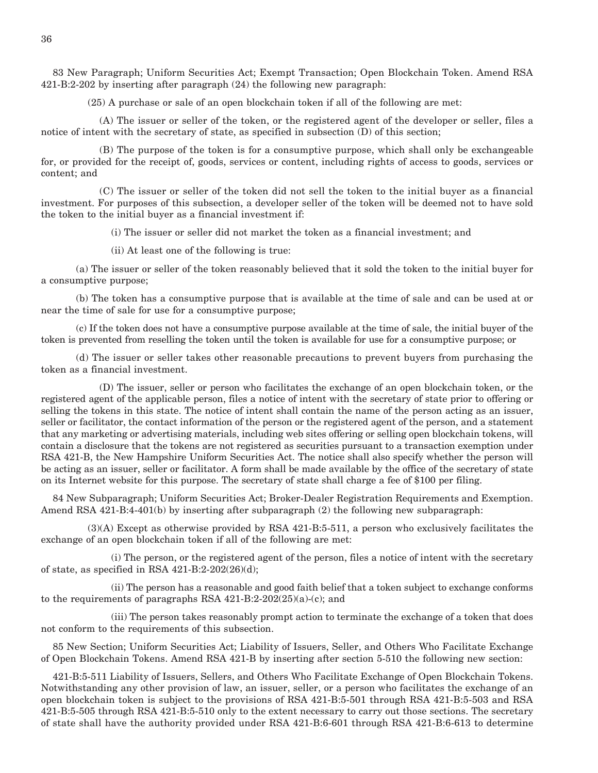83 New Paragraph; Uniform Securities Act; Exempt Transaction; Open Blockchain Token. Amend RSA 421-B:2-202 by inserting after paragraph (24) the following new paragraph:

(25) A purchase or sale of an open blockchain token if all of the following are met:

 (A) The issuer or seller of the token, or the registered agent of the developer or seller, files a notice of intent with the secretary of state, as specified in subsection (D) of this section;

 (B) The purpose of the token is for a consumptive purpose, which shall only be exchangeable for, or provided for the receipt of, goods, services or content, including rights of access to goods, services or content; and

 (C) The issuer or seller of the token did not sell the token to the initial buyer as a financial investment. For purposes of this subsection, a developer seller of the token will be deemed not to have sold the token to the initial buyer as a financial investment if:

(i) The issuer or seller did not market the token as a financial investment; and

(ii) At least one of the following is true:

 (a) The issuer or seller of the token reasonably believed that it sold the token to the initial buyer for a consumptive purpose;

 (b) The token has a consumptive purpose that is available at the time of sale and can be used at or near the time of sale for use for a consumptive purpose;

 (c) If the token does not have a consumptive purpose available at the time of sale, the initial buyer of the token is prevented from reselling the token until the token is available for use for a consumptive purpose; or

 (d) The issuer or seller takes other reasonable precautions to prevent buyers from purchasing the token as a financial investment.

 (D) The issuer, seller or person who facilitates the exchange of an open blockchain token, or the registered agent of the applicable person, files a notice of intent with the secretary of state prior to offering or selling the tokens in this state. The notice of intent shall contain the name of the person acting as an issuer, seller or facilitator, the contact information of the person or the registered agent of the person, and a statement that any marketing or advertising materials, including web sites offering or selling open blockchain tokens, will contain a disclosure that the tokens are not registered as securities pursuant to a transaction exemption under RSA 421-B, the New Hampshire Uniform Securities Act. The notice shall also specify whether the person will be acting as an issuer, seller or facilitator. A form shall be made available by the office of the secretary of state on its Internet website for this purpose. The secretary of state shall charge a fee of \$100 per filing.

84 New Subparagraph; Uniform Securities Act; Broker-Dealer Registration Requirements and Exemption. Amend RSA 421-B:4-401(b) by inserting after subparagraph (2) the following new subparagraph:

 (3)(A) Except as otherwise provided by RSA 421-B:5-511, a person who exclusively facilitates the exchange of an open blockchain token if all of the following are met:

 (i) The person, or the registered agent of the person, files a notice of intent with the secretary of state, as specified in RSA  $421-B:2-202(26)(d);$ 

 (ii) The person has a reasonable and good faith belief that a token subject to exchange conforms to the requirements of paragraphs RSA 421-B:2-202(25)(a)-(c); and

 (iii) The person takes reasonably prompt action to terminate the exchange of a token that does not conform to the requirements of this subsection.

85 New Section; Uniform Securities Act; Liability of Issuers, Seller, and Others Who Facilitate Exchange of Open Blockchain Tokens. Amend RSA 421-B by inserting after section 5-510 the following new section:

421-B:5-511 Liability of Issuers, Sellers, and Others Who Facilitate Exchange of Open Blockchain Tokens. Notwithstanding any other provision of law, an issuer, seller, or a person who facilitates the exchange of an open blockchain token is subject to the provisions of RSA 421-B:5-501 through RSA 421-B:5-503 and RSA 421-B:5-505 through RSA 421-B:5-510 only to the extent necessary to carry out those sections. The secretary of state shall have the authority provided under RSA 421-B:6-601 through RSA 421-B:6-613 to determine